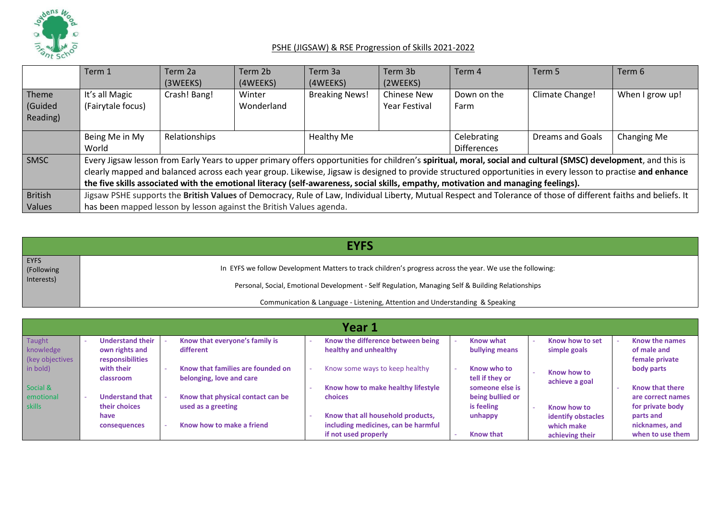

|                | Term 1                                                                                                                                                           | Term 2a       | Term 2b    | Term 3a               | Term 3b            | Term 4             | Term 5                                                                                                                                                          | Term 6          |  |  |
|----------------|------------------------------------------------------------------------------------------------------------------------------------------------------------------|---------------|------------|-----------------------|--------------------|--------------------|-----------------------------------------------------------------------------------------------------------------------------------------------------------------|-----------------|--|--|
|                |                                                                                                                                                                  | (3WEEKS)      | (4WEEKS)   | (4WEEKS)              | (2WEEKS)           |                    |                                                                                                                                                                 |                 |  |  |
| Theme          | It's all Magic                                                                                                                                                   | Crash! Bang!  | Winter     | <b>Breaking News!</b> | <b>Chinese New</b> | Down on the        | Climate Change!                                                                                                                                                 | When I grow up! |  |  |
| Guided         | (Fairytale focus)                                                                                                                                                |               | Wonderland | Year Festival         |                    | Farm               |                                                                                                                                                                 |                 |  |  |
| Reading)       |                                                                                                                                                                  |               |            |                       |                    |                    |                                                                                                                                                                 |                 |  |  |
|                |                                                                                                                                                                  |               |            |                       |                    |                    |                                                                                                                                                                 |                 |  |  |
|                | Being Me in My                                                                                                                                                   | Relationships |            | <b>Healthy Me</b>     |                    | Celebrating        | Dreams and Goals                                                                                                                                                | Changing Me     |  |  |
|                | World                                                                                                                                                            |               |            |                       |                    | <b>Differences</b> |                                                                                                                                                                 |                 |  |  |
| SMSC           |                                                                                                                                                                  |               |            |                       |                    |                    | Every Jigsaw lesson from Early Years to upper primary offers opportunities for children's spiritual, moral, social and cultural (SMSC) development, and this is |                 |  |  |
|                |                                                                                                                                                                  |               |            |                       |                    |                    | clearly mapped and balanced across each year group. Likewise, Jigsaw is designed to provide structured opportunities in every lesson to practise and enhance    |                 |  |  |
|                | the five skills associated with the emotional literacy (self-awareness, social skills, empathy, motivation and managing feelings).                               |               |            |                       |                    |                    |                                                                                                                                                                 |                 |  |  |
| <b>British</b> | Jigsaw PSHE supports the British Values of Democracy, Rule of Law, Individual Liberty, Mutual Respect and Tolerance of those of different faiths and beliefs. It |               |            |                       |                    |                    |                                                                                                                                                                 |                 |  |  |
| Values         | has been mapped lesson by lesson against the British Values agenda.                                                                                              |               |            |                       |                    |                    |                                                                                                                                                                 |                 |  |  |

|                                         | <b>EYFS</b>                                                                                                                                                                       |  |  |  |  |  |  |  |  |  |
|-----------------------------------------|-----------------------------------------------------------------------------------------------------------------------------------------------------------------------------------|--|--|--|--|--|--|--|--|--|
| <b>EYFS</b><br>(Following<br>Interests) | In EYFS we follow Development Matters to track children's progress across the year. We use the following:                                                                         |  |  |  |  |  |  |  |  |  |
|                                         | Personal, Social, Emotional Development - Self Regulation, Managing Self & Building Relationships<br>Communication & Language - Listening, Attention and Understanding & Speaking |  |  |  |  |  |  |  |  |  |

|                 | Year 1                  |                                   |  |                                     |  |                  |  |                           |  |                        |  |
|-----------------|-------------------------|-----------------------------------|--|-------------------------------------|--|------------------|--|---------------------------|--|------------------------|--|
| Taught          | <b>Understand their</b> | Know that everyone's family is    |  | Know the difference between being   |  | <b>Know what</b> |  | Know how to set           |  | Know the names         |  |
| knowledge       | own rights and          | different                         |  | healthy and unhealthy               |  | bullying means   |  | simple goals              |  | of male and            |  |
| (key objectives | responsibilities        |                                   |  |                                     |  |                  |  |                           |  | female private         |  |
| in bold)        | with their              | Know that families are founded on |  | Know some ways to keep healthy      |  | Know who to      |  | Know how to               |  | body parts             |  |
|                 | classroom               | belonging, love and care          |  |                                     |  | tell if they or  |  | achieve a goal            |  |                        |  |
| Social &        |                         |                                   |  | Know how to make healthy lifestyle  |  | someone else is  |  |                           |  | <b>Know that there</b> |  |
| emotional       | <b>Understand that</b>  | Know that physical contact can be |  | choices                             |  | being bullied or |  |                           |  | are correct names      |  |
| skills          | their choices           | used as a greeting                |  |                                     |  | is feeling       |  | Know how to               |  | for private body       |  |
|                 | have                    |                                   |  | Know that all household products,   |  | unhappy          |  | <b>identify obstacles</b> |  | parts and              |  |
|                 | consequences            | Know how to make a friend         |  | including medicines, can be harmful |  |                  |  | which make                |  | nicknames, and         |  |
|                 |                         |                                   |  | if not used properly                |  | <b>Know that</b> |  | achieving their           |  | when to use them       |  |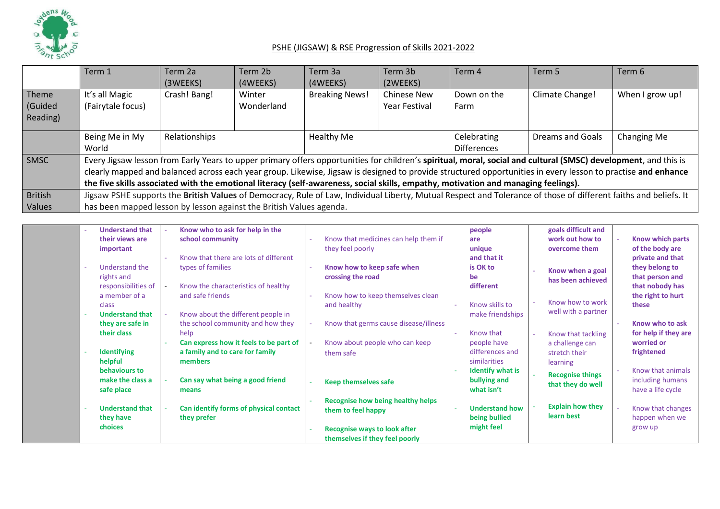

|                | Term 1                                                                                                                                                           | Term 2a<br>(3WEEKS) | Term 2b<br>(4WEEKS) | Term 3a<br>(4WEEKS)   | Term 3b<br>(2WEEKS) | Term 4                                                                                                                             | Term 5                                                                                                                                                          | Term 6          |  |  |
|----------------|------------------------------------------------------------------------------------------------------------------------------------------------------------------|---------------------|---------------------|-----------------------|---------------------|------------------------------------------------------------------------------------------------------------------------------------|-----------------------------------------------------------------------------------------------------------------------------------------------------------------|-----------------|--|--|
| Theme          | It's all Magic                                                                                                                                                   | Crash! Bang!        | Winter              | <b>Breaking News!</b> | <b>Chinese New</b>  | Down on the                                                                                                                        | Climate Change!                                                                                                                                                 | When I grow up! |  |  |
| (Guided        | (Fairytale focus)                                                                                                                                                |                     | Wonderland          | Year Festival         |                     | Farm                                                                                                                               |                                                                                                                                                                 |                 |  |  |
| Reading)       |                                                                                                                                                                  |                     |                     |                       |                     |                                                                                                                                    |                                                                                                                                                                 |                 |  |  |
|                | Being Me in My                                                                                                                                                   | Relationships       |                     | Healthy Me            |                     | Celebrating                                                                                                                        | Dreams and Goals                                                                                                                                                | Changing Me     |  |  |
|                | World                                                                                                                                                            |                     |                     |                       |                     | <b>Differences</b>                                                                                                                 |                                                                                                                                                                 |                 |  |  |
| <b>SMSC</b>    |                                                                                                                                                                  |                     |                     |                       |                     |                                                                                                                                    | Every Jigsaw lesson from Early Years to upper primary offers opportunities for children's spiritual, moral, social and cultural (SMSC) development, and this is |                 |  |  |
|                |                                                                                                                                                                  |                     |                     |                       |                     |                                                                                                                                    | clearly mapped and balanced across each year group. Likewise, Jigsaw is designed to provide structured opportunities in every lesson to practise and enhance    |                 |  |  |
|                |                                                                                                                                                                  |                     |                     |                       |                     | the five skills associated with the emotional literacy (self-awareness, social skills, empathy, motivation and managing feelings). |                                                                                                                                                                 |                 |  |  |
| <b>British</b> | Jigsaw PSHE supports the British Values of Democracy, Rule of Law, Individual Liberty, Mutual Respect and Tolerance of those of different faiths and beliefs. It |                     |                     |                       |                     |                                                                                                                                    |                                                                                                                                                                 |                 |  |  |
| Values         | has been mapped lesson by lesson against the British Values agenda.                                                                                              |                     |                     |                       |                     |                                                                                                                                    |                                                                                                                                                                 |                 |  |  |

| <b>Understand that</b><br>$\sim$ | Know who to ask for help in the        |                                       | people                  | goals difficult and     |                      |
|----------------------------------|----------------------------------------|---------------------------------------|-------------------------|-------------------------|----------------------|
| their views are                  | school community                       | Know that medicines can help them if  | are                     | work out how to         | Know which parts     |
| important                        |                                        | they feel poorly                      | unique                  | overcome them           | of the body are      |
|                                  | Know that there are lots of different  |                                       | and that it             |                         | private and that     |
| Understand the                   | types of families                      | Know how to keep safe when            | is OK to                | Know when a goal        | they belong to       |
| rights and                       |                                        | crossing the road                     | be                      | has been achieved       | that person and      |
| responsibilities of              | Know the characteristics of healthy    |                                       | different               |                         | that nobody has      |
| a member of a                    | and safe friends                       | Know how to keep themselves clean     |                         |                         | the right to hurt    |
| class                            |                                        | and healthy                           | Know skills to          | Know how to work        | these                |
| <b>Understand that</b>           | Know about the different people in     |                                       | make friendships        | well with a partner     |                      |
| they are safe in                 | the school community and how they      | Know that germs cause disease/illness |                         |                         | Know who to ask      |
| their class                      | help                                   |                                       | Know that               | Know that tackling      | for help if they are |
|                                  | Can express how it feels to be part of | Know about people who can keep        | people have             | a challenge can         | worried or           |
| <b>Identifying</b>               | a family and to care for family        | them safe                             | differences and         | stretch their           | frightened           |
| helpful                          | members                                |                                       | similarities            | learning                |                      |
| behaviours to                    |                                        |                                       | <b>Identify what is</b> | <b>Recognise things</b> | Know that animals    |
| make the class a                 | Can say what being a good friend       | <b>Keep themselves safe</b>           | bullying and            | that they do well       | including humans     |
| safe place                       | means                                  |                                       | what isn't              |                         | have a life cycle    |
|                                  |                                        | Recognise how being healthy helps     |                         |                         |                      |
| <b>Understand that</b>           | Can identify forms of physical contact | them to feel happy                    | <b>Understand how</b>   | <b>Explain how they</b> | Know that changes    |
| they have                        | they prefer                            |                                       | being bullied           | learn best              | happen when we       |
| choices                          |                                        | <b>Recognise ways to look after</b>   | might feel              |                         | grow up              |
|                                  |                                        | themselves if they feel poorly        |                         |                         |                      |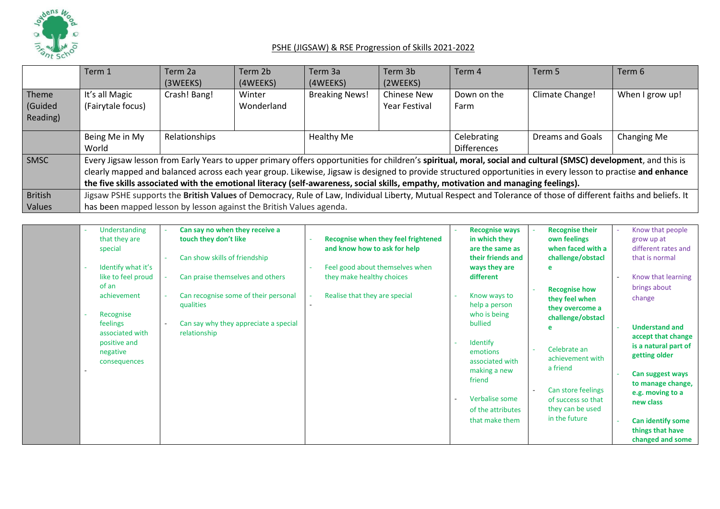

|                              | Term 1                                                              | Term 2a<br>(3WEEKS) | Term 2b<br>(4WEEKS)                                                                                                                                                                                                                                                                                                                                                                                                                                                   | Term 3a<br>(4WEEKS)   | Term 3b<br>(2WEEKS)                        | Term 4                            | Term 5                                                                                                                                                           | Term 6          |  |  |  |
|------------------------------|---------------------------------------------------------------------|---------------------|-----------------------------------------------------------------------------------------------------------------------------------------------------------------------------------------------------------------------------------------------------------------------------------------------------------------------------------------------------------------------------------------------------------------------------------------------------------------------|-----------------------|--------------------------------------------|-----------------------------------|------------------------------------------------------------------------------------------------------------------------------------------------------------------|-----------------|--|--|--|
| Theme<br>(Guided<br>Reading) | It's all Magic<br>(Fairytale focus)                                 | Crash! Bang!        | Winter<br>Wonderland                                                                                                                                                                                                                                                                                                                                                                                                                                                  | <b>Breaking News!</b> | <b>Chinese New</b><br><b>Year Festival</b> | Down on the<br>Farm               | Climate Change!                                                                                                                                                  | When I grow up! |  |  |  |
|                              | Being Me in My<br>World                                             | Relationships       |                                                                                                                                                                                                                                                                                                                                                                                                                                                                       | Healthy Me            |                                            | Celebrating<br><b>Differences</b> | Dreams and Goals                                                                                                                                                 | Changing Me     |  |  |  |
| SMSC                         |                                                                     |                     | Every Jigsaw lesson from Early Years to upper primary offers opportunities for children's spiritual, moral, social and cultural (SMSC) development, and this is<br>clearly mapped and balanced across each year group. Likewise, Jigsaw is designed to provide structured opportunities in every lesson to practise and enhance<br>the five skills associated with the emotional literacy (self-awareness, social skills, empathy, motivation and managing feelings). |                       |                                            |                                   |                                                                                                                                                                  |                 |  |  |  |
| <b>British</b><br>Values     | has been mapped lesson by lesson against the British Values agenda. |                     |                                                                                                                                                                                                                                                                                                                                                                                                                                                                       |                       |                                            |                                   | Jigsaw PSHE supports the British Values of Democracy, Rule of Law, Individual Liberty, Mutual Respect and Tolerance of those of different faiths and beliefs. It |                 |  |  |  |

| Understanding      | Can say no when they receive a        |                                     | <b>Recognise ways</b> | <b>Recognise their</b> | Know that people                           |
|--------------------|---------------------------------------|-------------------------------------|-----------------------|------------------------|--------------------------------------------|
| that they are      | touch they don't like                 | Recognise when they feel frightened | in which they         | own feelings           | grow up at                                 |
| special            |                                       | and know how to ask for help        | are the same as       | when faced with a      | different rates and                        |
|                    | Can show skills of friendship         |                                     | their friends and     | challenge/obstacl      | that is normal                             |
| Identify what it's |                                       | Feel good about themselves when     | ways they are         |                        |                                            |
| like to feel proud | Can praise themselves and others      | they make healthy choices           | different             |                        | Know that learning                         |
| of an              |                                       |                                     |                       | <b>Recognise how</b>   | brings about                               |
| achievement        | Can recognise some of their personal  | Realise that they are special       | Know ways to          | they feel when         | change                                     |
|                    | qualities                             |                                     | help a person         | they overcome a        |                                            |
| Recognise          |                                       |                                     | who is being          | challenge/obstacl      |                                            |
| feelings           | Can say why they appreciate a special |                                     | bullied               |                        | <b>Understand and</b>                      |
| associated with    | relationship                          |                                     |                       |                        |                                            |
| positive and       |                                       |                                     | Identify              |                        | accept that change<br>is a natural part of |
| negative           |                                       |                                     | emotions              | Celebrate an           |                                            |
| consequences       |                                       |                                     | associated with       | achievement with       | getting older                              |
|                    |                                       |                                     | making a new          | a friend               |                                            |
|                    |                                       |                                     | friend                |                        | Can suggest ways                           |
|                    |                                       |                                     |                       | Can store feelings     | to manage change,                          |
|                    |                                       |                                     | Verbalise some        | of success so that     | e.g. moving to a                           |
|                    |                                       |                                     | of the attributes     | they can be used       | new class                                  |
|                    |                                       |                                     |                       | in the future          |                                            |
|                    |                                       |                                     | that make them        |                        | <b>Can identify some</b>                   |
|                    |                                       |                                     |                       |                        | things that have                           |
|                    |                                       |                                     |                       |                        | changed and some                           |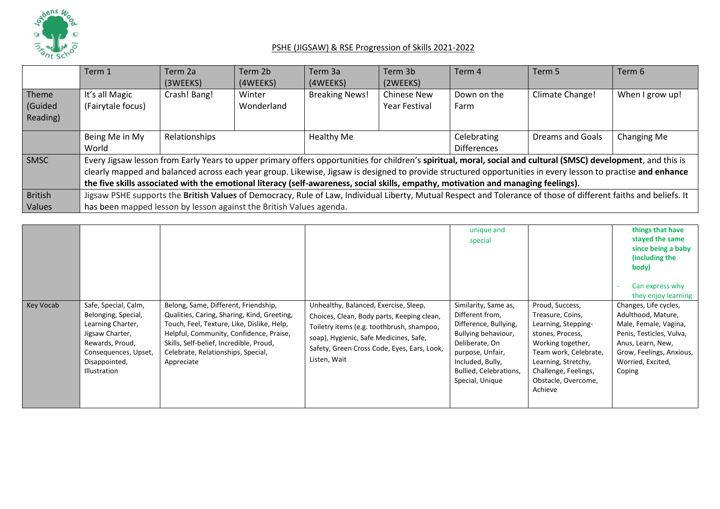

|                | Term 1                                                                                                                                                           | Term 2a       | Term 2b    | Term 3a                                     | Term 3b  | Term 4             | Term 5                                                                                                                                                          | Term 6          |  |  |
|----------------|------------------------------------------------------------------------------------------------------------------------------------------------------------------|---------------|------------|---------------------------------------------|----------|--------------------|-----------------------------------------------------------------------------------------------------------------------------------------------------------------|-----------------|--|--|
|                |                                                                                                                                                                  | (3WEEKS)      | (4WEEKS)   | (4WEEKS)                                    | (2WEEKS) |                    |                                                                                                                                                                 |                 |  |  |
| Theme          | It's all Magic                                                                                                                                                   | Crash! Bang!  | Winter     | <b>Breaking News!</b><br><b>Chinese New</b> |          | Down on the        | Climate Change!                                                                                                                                                 | When I grow up! |  |  |
| (Guided        | (Fairytale focus)                                                                                                                                                |               | Wonderland | Year Festival                               |          | Farm               |                                                                                                                                                                 |                 |  |  |
| Reading)       |                                                                                                                                                                  |               |            |                                             |          |                    |                                                                                                                                                                 |                 |  |  |
|                | Being Me in My                                                                                                                                                   | Relationships |            | Healthy Me                                  |          | Celebrating        | Dreams and Goals                                                                                                                                                | Changing Me     |  |  |
|                | World                                                                                                                                                            |               |            |                                             |          | <b>Differences</b> |                                                                                                                                                                 |                 |  |  |
| SMSC           |                                                                                                                                                                  |               |            |                                             |          |                    | Every Jigsaw lesson from Early Years to upper primary offers opportunities for children's spiritual, moral, social and cultural (SMSC) development, and this is |                 |  |  |
|                |                                                                                                                                                                  |               |            |                                             |          |                    | clearly mapped and balanced across each year group. Likewise, Jigsaw is designed to provide structured opportunities in every lesson to practise and enhance    |                 |  |  |
|                | the five skills associated with the emotional literacy (self-awareness, social skills, empathy, motivation and managing feelings).                               |               |            |                                             |          |                    |                                                                                                                                                                 |                 |  |  |
| <b>British</b> | Jigsaw PSHE supports the British Values of Democracy, Rule of Law, Individual Liberty, Mutual Respect and Tolerance of those of different faiths and beliefs. It |               |            |                                             |          |                    |                                                                                                                                                                 |                 |  |  |
| Values         | has been mapped lesson by lesson against the British Values agenda.                                                                                              |               |            |                                             |          |                    |                                                                                                                                                                 |                 |  |  |

|                  |                                                                                                                                                                        |                                                                                                                                                                                                                                                                             |                                                                                                                                                                                                                                           | unique and<br>special                                                                                                                                                                          |                                                                                                                                                                                                               | things that have<br>stayed the same<br>since being a baby<br>(including the<br>body)<br>Can express why                                                                                                 |
|------------------|------------------------------------------------------------------------------------------------------------------------------------------------------------------------|-----------------------------------------------------------------------------------------------------------------------------------------------------------------------------------------------------------------------------------------------------------------------------|-------------------------------------------------------------------------------------------------------------------------------------------------------------------------------------------------------------------------------------------|------------------------------------------------------------------------------------------------------------------------------------------------------------------------------------------------|---------------------------------------------------------------------------------------------------------------------------------------------------------------------------------------------------------------|---------------------------------------------------------------------------------------------------------------------------------------------------------------------------------------------------------|
| <b>Key Vocab</b> | Safe, Special, Calm,<br>Belonging, Special,<br>Learning Charter,<br>Jigsaw Charter,<br>Rewards, Proud,<br>Consequences, Upset,<br>Disappointed,<br><b>Illustration</b> | Belong, Same, Different, Friendship,<br>Qualities, Caring, Sharing, Kind, Greeting,<br>Touch, Feel, Texture, Like, Dislike, Help,<br>Helpful, Community, Confidence, Praise,<br>Skills, Self-belief, Incredible, Proud,<br>Celebrate, Relationships, Special,<br>Appreciate | Unhealthy, Balanced, Exercise, Sleep,<br>Choices, Clean, Body parts, Keeping clean,<br>Toiletry items (e.g. toothbrush, shampoo,<br>soap), Hygienic, Safe Medicines, Safe,<br>Safety, Green Cross Code, Eyes, Ears, Look,<br>Listen, Wait | Similarity, Same as,<br>Different from,<br>Difference, Bullying,<br>Bullying behaviour,<br>Deliberate, On<br>purpose, Unfair,<br>Included, Bully,<br>Bullied, Celebrations,<br>Special, Unique | Proud, Success,<br>Treasure, Coins,<br>Learning, Stepping-<br>stones, Process,<br>Working together,<br>Team work, Celebrate,<br>Learning, Stretchy,<br>Challenge, Feelings,<br>Obstacle, Overcome,<br>Achieve | they enjoy learning<br>Changes, Life cycles,<br>Adulthood, Mature,<br>Male, Female, Vagina,<br>Penis, Testicles, Vulva,<br>Anus, Learn, New,<br>Grow, Feelings, Anxious,<br>Worried, Excited,<br>Coping |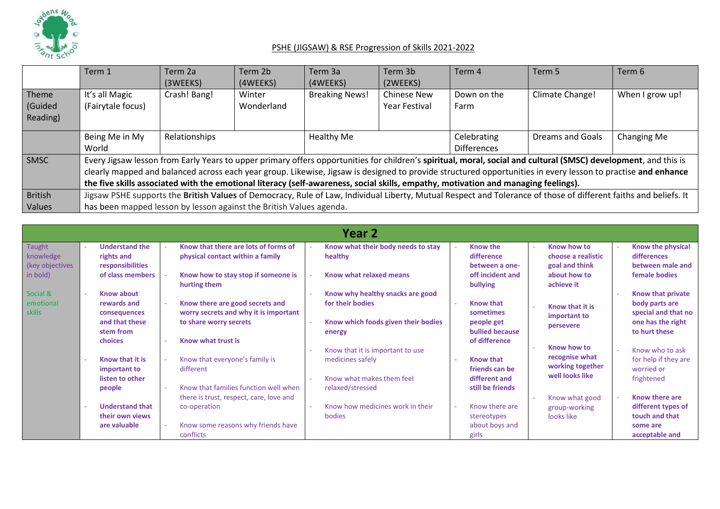

|                | Term 1                                                                                                                                                           | Term 2a                                                             | Term 2b    | Term 3a               | Term 3b              | Term 4             | Term 5                                                                                                                                                          | Term 6          |  |  |  |
|----------------|------------------------------------------------------------------------------------------------------------------------------------------------------------------|---------------------------------------------------------------------|------------|-----------------------|----------------------|--------------------|-----------------------------------------------------------------------------------------------------------------------------------------------------------------|-----------------|--|--|--|
|                |                                                                                                                                                                  | (3WEEKS)                                                            | (4WEEKS)   | (4WEEKS)              | (2WEEKS)             |                    |                                                                                                                                                                 |                 |  |  |  |
| Theme          | It's all Magic                                                                                                                                                   | Crash! Bang!                                                        | Winter     | <b>Breaking News!</b> | <b>Chinese New</b>   | Down on the        | Climate Change!                                                                                                                                                 | When I grow up! |  |  |  |
| (Guided        | (Fairytale focus)                                                                                                                                                |                                                                     | Wonderland |                       | <b>Year Festival</b> | Farm               |                                                                                                                                                                 |                 |  |  |  |
| Reading)       |                                                                                                                                                                  |                                                                     |            |                       |                      |                    |                                                                                                                                                                 |                 |  |  |  |
|                | Being Me in My                                                                                                                                                   | Relationships                                                       |            | Healthy Me            |                      | Celebrating        | <b>Dreams and Goals</b>                                                                                                                                         | Changing Me     |  |  |  |
|                | World                                                                                                                                                            |                                                                     |            |                       |                      | <b>Differences</b> |                                                                                                                                                                 |                 |  |  |  |
| SMSC           |                                                                                                                                                                  |                                                                     |            |                       |                      |                    | Every Jigsaw lesson from Early Years to upper primary offers opportunities for children's spiritual, moral, social and cultural (SMSC) development, and this is |                 |  |  |  |
|                |                                                                                                                                                                  |                                                                     |            |                       |                      |                    | clearly mapped and balanced across each year group. Likewise, Jigsaw is designed to provide structured opportunities in every lesson to practise and enhance    |                 |  |  |  |
|                | the five skills associated with the emotional literacy (self-awareness, social skills, empathy, motivation and managing feelings).                               |                                                                     |            |                       |                      |                    |                                                                                                                                                                 |                 |  |  |  |
| <b>British</b> | Jigsaw PSHE supports the British Values of Democracy, Rule of Law, Individual Liberty, Mutual Respect and Tolerance of those of different faiths and beliefs. It |                                                                     |            |                       |                      |                    |                                                                                                                                                                 |                 |  |  |  |
| <b>Values</b>  |                                                                                                                                                                  | has been mapped lesson by lesson against the British Values agenda. |            |                       |                      |                    |                                                                                                                                                                 |                 |  |  |  |

|                                        |                                                                    |                                                                                                    | Year 2                                                                                      |                                                             |                                                     |                                                                                 |
|----------------------------------------|--------------------------------------------------------------------|----------------------------------------------------------------------------------------------------|---------------------------------------------------------------------------------------------|-------------------------------------------------------------|-----------------------------------------------------|---------------------------------------------------------------------------------|
| Taught<br>knowledge<br>(key objectives | <b>Understand the</b><br>rights and<br>responsibilities            | Know that there are lots of forms of<br>physical contact within a family                           | Know what their body needs to stay<br>healthy                                               | <b>Know the</b><br>difference<br>between a one-             | Know how to<br>choose a realistic<br>goal and think | Know the physical<br>differences<br>between male and                            |
| in bold)                               | of class members                                                   | Know how to stay stop if someone is<br>hurting them                                                | Know what relaxed means                                                                     | off incident and<br>bullying                                | about how to<br>achieve it                          | female bodies                                                                   |
| Social &<br>emotional<br>skills        | <b>Know about</b><br>rewards and<br>consequences<br>and that these | Know there are good secrets and<br>worry secrets and why it is important<br>to share worry secrets | Know why healthy snacks are good<br>for their bodies<br>Know which foods given their bodies | <b>Know that</b><br>sometimes<br>people get                 | Know that it is<br>important to<br>persevere        | Know that private<br>body parts are<br>special and that no<br>one has the right |
|                                        | stem from<br>choices<br>Know that it is                            | Know what trust is                                                                                 | energy<br>Know that it is important to use                                                  | <b>bullied because</b><br>of difference<br><b>Know that</b> | Know how to<br>recognise what                       | to hurt these<br>Know who to ask<br>for help if they are                        |
|                                        | important to<br>listen to other<br>people                          | Know that everyone's family is<br>different<br>Know that families function well when               | medicines safely<br>Know what makes them feel<br>relaxed/stressed                           | friends can be<br>different and<br>still be friends         | working together<br>well looks like                 | worried or<br>frightened                                                        |
|                                        | <b>Understand that</b><br>their own views                          | there is trust, respect, care, love and<br>co-operation                                            | Know how medicines work in their<br>bodies                                                  | Know there are<br>stereotypes                               | Know what good<br>group-working<br>looks like       | Know there are<br>different types of<br>touch and that                          |
|                                        | are valuable                                                       | Know some reasons why friends have<br>conflicts                                                    |                                                                                             | about boys and<br>girls                                     |                                                     | some are<br>acceptable and                                                      |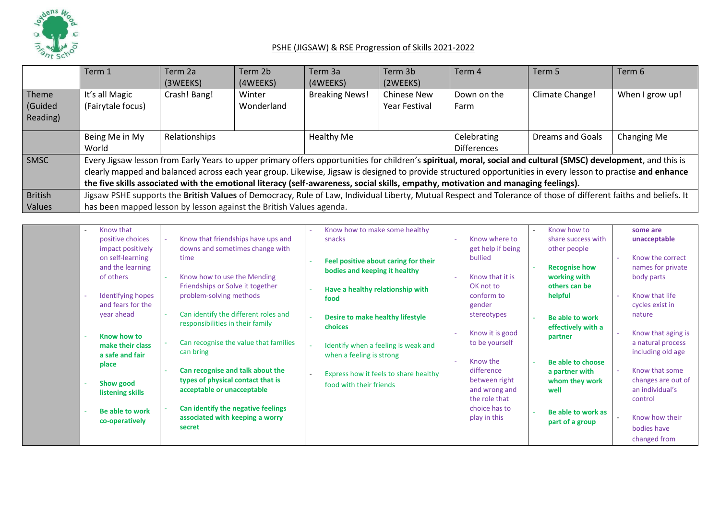

|                | Term 1                                                                                                                                                           | Term 2a<br>(3WEEKS) | Term 2b<br>(4WEEKS) | Term 3a<br>(4WEEKS)   | Term 3b<br>(2WEEKS) | Term 4                                                                                                                             | Term 5                                                                                                                                                          | Term 6          |  |  |
|----------------|------------------------------------------------------------------------------------------------------------------------------------------------------------------|---------------------|---------------------|-----------------------|---------------------|------------------------------------------------------------------------------------------------------------------------------------|-----------------------------------------------------------------------------------------------------------------------------------------------------------------|-----------------|--|--|
| Theme          | It's all Magic                                                                                                                                                   | Crash! Bang!        | Winter              | <b>Breaking News!</b> | <b>Chinese New</b>  | Down on the                                                                                                                        | Climate Change!                                                                                                                                                 | When I grow up! |  |  |
| (Guided        | (Fairytale focus)                                                                                                                                                |                     | Wonderland          | <b>Year Festival</b>  |                     | Farm                                                                                                                               |                                                                                                                                                                 |                 |  |  |
| Reading)       |                                                                                                                                                                  |                     |                     |                       |                     |                                                                                                                                    |                                                                                                                                                                 |                 |  |  |
|                | Being Me in My                                                                                                                                                   | Relationships       |                     | Healthy Me            |                     | Celebrating                                                                                                                        | Dreams and Goals                                                                                                                                                | Changing Me     |  |  |
|                | World                                                                                                                                                            |                     |                     |                       |                     | <b>Differences</b>                                                                                                                 |                                                                                                                                                                 |                 |  |  |
| <b>SMSC</b>    |                                                                                                                                                                  |                     |                     |                       |                     |                                                                                                                                    | Every Jigsaw lesson from Early Years to upper primary offers opportunities for children's spiritual, moral, social and cultural (SMSC) development, and this is |                 |  |  |
|                |                                                                                                                                                                  |                     |                     |                       |                     |                                                                                                                                    | clearly mapped and balanced across each year group. Likewise, Jigsaw is designed to provide structured opportunities in every lesson to practise and enhance    |                 |  |  |
|                |                                                                                                                                                                  |                     |                     |                       |                     | the five skills associated with the emotional literacy (self-awareness, social skills, empathy, motivation and managing feelings). |                                                                                                                                                                 |                 |  |  |
| <b>British</b> | Jigsaw PSHE supports the British Values of Democracy, Rule of Law, Individual Liberty, Mutual Respect and Tolerance of those of different faiths and beliefs. It |                     |                     |                       |                     |                                                                                                                                    |                                                                                                                                                                 |                 |  |  |
| Values         | has been mapped lesson by lesson against the British Values agenda.                                                                                              |                     |                     |                       |                     |                                                                                                                                    |                                                                                                                                                                 |                 |  |  |

| Know that<br>$\sim$      |                                                                 | Know how to make some healthy         |                                | Know how to          | some are                              |
|--------------------------|-----------------------------------------------------------------|---------------------------------------|--------------------------------|----------------------|---------------------------------------|
| positive choices         | Know that friendships have ups and                              | snacks                                | Know where to                  | share success with   | unacceptable                          |
| impact positively        | downs and sometimes change with                                 |                                       | get help if being              | other people         |                                       |
| on self-learning         | time                                                            | Feel positive about caring for their  | bullied                        |                      | Know the correct                      |
| and the learning         |                                                                 | bodies and keeping it healthy         |                                | <b>Recognise how</b> | names for private                     |
| of others                | Know how to use the Mending                                     |                                       | Know that it is                | working with         | body parts                            |
|                          | Friendships or Solve it together                                | Have a healthy relationship with      | OK not to                      | others can be        |                                       |
| <b>Identifying hopes</b> | problem-solving methods                                         | food                                  | conform to                     | helpful              | Know that life                        |
| and fears for the        |                                                                 |                                       | gender                         |                      | cycles exist in                       |
| year ahead               | Can identify the different roles and                            | Desire to make healthy lifestyle      | stereotypes                    | Be able to work      | nature                                |
|                          | responsibilities in their family                                | choices                               |                                | effectively with a   |                                       |
| Know how to              |                                                                 |                                       | Know it is good                | partner              | Know that aging is                    |
| make their class         | Can recognise the value that families                           | Identify when a feeling is weak and   | to be yourself                 |                      | a natural process                     |
| a safe and fair          | can bring                                                       | when a feeling is strong              |                                |                      | including old age                     |
| place                    |                                                                 |                                       | Know the<br>difference         | Be able to choose    | Know that some                        |
|                          | Can recognise and talk about the                                | Express how it feels to share healthy |                                | a partner with       |                                       |
| Show good                | types of physical contact that is<br>acceptable or unacceptable | food with their friends               | between right                  | whom they work       | changes are out of<br>an individual's |
| listening skills         |                                                                 |                                       | and wrong and<br>the role that | well                 | control                               |
|                          | Can identify the negative feelings                              |                                       | choice has to                  |                      |                                       |
| <b>Be able to work</b>   | associated with keeping a worry                                 |                                       | play in this                   | Be able to work as   | Know how their                        |
| co-operatively           | secret                                                          |                                       |                                | part of a group      |                                       |
|                          |                                                                 |                                       |                                |                      | bodies have                           |
|                          |                                                                 |                                       |                                |                      | changed from                          |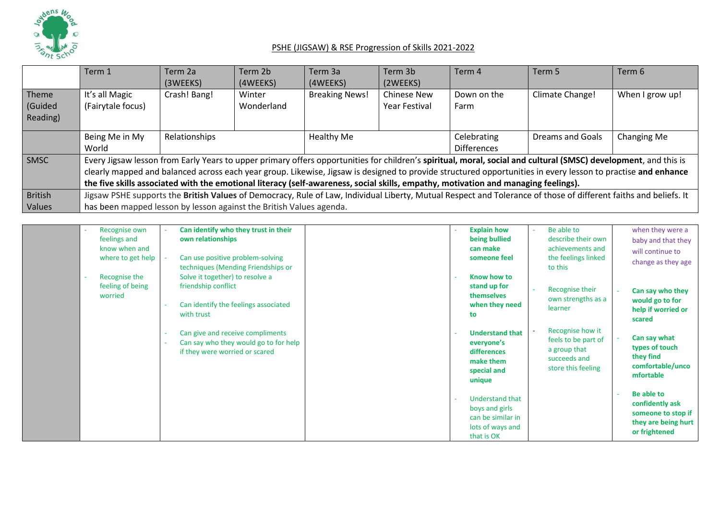

|                              | Term 1                                                                                                                                                                                                                                  | Term 2a<br>(3WEEKS)                                                                                                                                                                                                                                                                                                                                                                                                                                                   | Term 2b<br>(4WEEKS)  | Term 3a<br>(4WEEKS)   | Term 3b<br>(2WEEKS)                        | Term 4              | Term 5           | Term 6          |  |
|------------------------------|-----------------------------------------------------------------------------------------------------------------------------------------------------------------------------------------------------------------------------------------|-----------------------------------------------------------------------------------------------------------------------------------------------------------------------------------------------------------------------------------------------------------------------------------------------------------------------------------------------------------------------------------------------------------------------------------------------------------------------|----------------------|-----------------------|--------------------------------------------|---------------------|------------------|-----------------|--|
| Theme<br>(Guided<br>Reading) | It's all Magic<br>(Fairytale focus)                                                                                                                                                                                                     | Crash! Bang!                                                                                                                                                                                                                                                                                                                                                                                                                                                          | Winter<br>Wonderland | <b>Breaking News!</b> | <b>Chinese New</b><br><b>Year Festival</b> | Down on the<br>Farm | Climate Change!  | When I grow up! |  |
|                              | Being Me in My<br>World                                                                                                                                                                                                                 | Relationships                                                                                                                                                                                                                                                                                                                                                                                                                                                         |                      |                       | Healthy Me                                 |                     | Dreams and Goals | Changing Me     |  |
| SMSC                         |                                                                                                                                                                                                                                         | Every Jigsaw lesson from Early Years to upper primary offers opportunities for children's spiritual, moral, social and cultural (SMSC) development, and this is<br>clearly mapped and balanced across each year group. Likewise, Jigsaw is designed to provide structured opportunities in every lesson to practise and enhance<br>the five skills associated with the emotional literacy (self-awareness, social skills, empathy, motivation and managing feelings). |                      |                       |                                            |                     |                  |                 |  |
| <b>British</b><br>Values     | Jigsaw PSHE supports the British Values of Democracy, Rule of Law, Individual Liberty, Mutual Respect and Tolerance of those of different faiths and beliefs. It<br>has been mapped lesson by lesson against the British Values agenda. |                                                                                                                                                                                                                                                                                                                                                                                                                                                                       |                      |                       |                                            |                     |                  |                 |  |

| Recognise own               | Can identify who they trust in their                                                                        | <b>Explain how</b>                                                                              | Be able to<br><b>A</b>                                                                        | when they were a                                                                            |
|-----------------------------|-------------------------------------------------------------------------------------------------------------|-------------------------------------------------------------------------------------------------|-----------------------------------------------------------------------------------------------|---------------------------------------------------------------------------------------------|
| feelings and                | own relationships                                                                                           | being bullied                                                                                   | describe their own                                                                            | baby and that they                                                                          |
| know when and               |                                                                                                             | can make                                                                                        | achievements and                                                                              | will continue to                                                                            |
| where to get help           | Can use positive problem-solving<br>techniques (Mending Friendships or                                      | someone feel                                                                                    | the feelings linked<br>to this                                                                | change as they age                                                                          |
| Recognise the               | Solve it together) to resolve a                                                                             | Know how to                                                                                     |                                                                                               |                                                                                             |
| feeling of being<br>worried | friendship conflict<br>Can identify the feelings associated<br>with trust                                   | stand up for<br><b>themselves</b><br>when they need<br>to                                       | Recognise their<br>$\sim$<br>own strengths as a<br>learner                                    | Can say who they<br>would go to for<br>help if worried or<br>scared                         |
|                             | Can give and receive compliments<br>Can say who they would go to for help<br>if they were worried or scared | <b>Understand that</b><br>everyone's<br>differences<br>make them<br>special and<br>unique       | Recognise how it<br>feels to be part of<br>a group that<br>succeeds and<br>store this feeling | Can say what<br>types of touch<br>they find<br>comfortable/unco<br>mfortable                |
|                             |                                                                                                             | <b>Understand that</b><br>boys and girls<br>can be similar in<br>lots of ways and<br>that is OK |                                                                                               | Be able to<br>confidently ask<br>someone to stop if<br>they are being hurt<br>or frightened |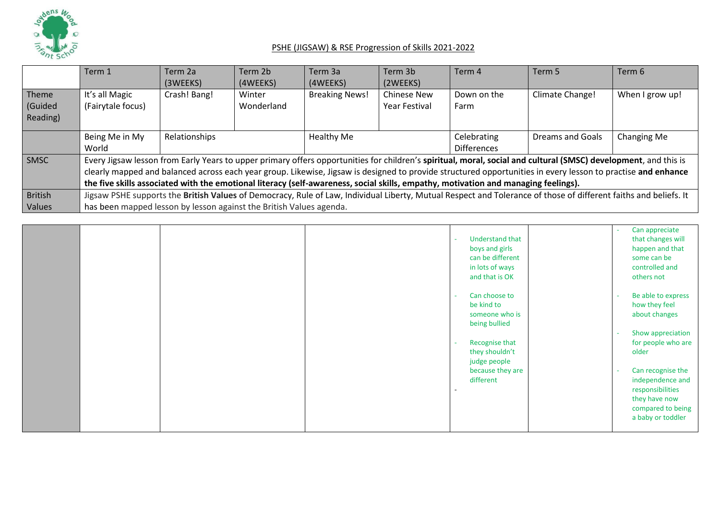

|          | Term 1                                                                                                                                                           | Term 2a       | Term 2b    | Term 3a               | Term 3b              | Term 4                                                                                                                             | Term 5                                                                                                                                                          | Term 6          |  |
|----------|------------------------------------------------------------------------------------------------------------------------------------------------------------------|---------------|------------|-----------------------|----------------------|------------------------------------------------------------------------------------------------------------------------------------|-----------------------------------------------------------------------------------------------------------------------------------------------------------------|-----------------|--|
|          |                                                                                                                                                                  | (3WEEKS)      | (4WEEKS)   | (4WEEKS)              | (2WEEKS)             |                                                                                                                                    |                                                                                                                                                                 |                 |  |
| Theme    | It's all Magic                                                                                                                                                   | Crash! Bang!  | Winter     | <b>Breaking News!</b> | <b>Chinese New</b>   | Down on the                                                                                                                        | Climate Change!                                                                                                                                                 | When I grow up! |  |
| Guided   | (Fairytale focus)                                                                                                                                                |               | Wonderland |                       | <b>Year Festival</b> | Farm                                                                                                                               |                                                                                                                                                                 |                 |  |
| Reading) |                                                                                                                                                                  |               |            |                       |                      |                                                                                                                                    |                                                                                                                                                                 |                 |  |
|          | Being Me in My                                                                                                                                                   | Relationships |            | <b>Healthy Me</b>     |                      | Celebrating                                                                                                                        | Dreams and Goals                                                                                                                                                | Changing Me     |  |
|          | World                                                                                                                                                            |               |            |                       |                      | <b>Differences</b>                                                                                                                 |                                                                                                                                                                 |                 |  |
| SMSC     |                                                                                                                                                                  |               |            |                       |                      |                                                                                                                                    | Every Jigsaw lesson from Early Years to upper primary offers opportunities for children's spiritual, moral, social and cultural (SMSC) development, and this is |                 |  |
|          |                                                                                                                                                                  |               |            |                       |                      |                                                                                                                                    | clearly mapped and balanced across each year group. Likewise, Jigsaw is designed to provide structured opportunities in every lesson to practise and enhance    |                 |  |
|          |                                                                                                                                                                  |               |            |                       |                      | the five skills associated with the emotional literacy (self-awareness, social skills, empathy, motivation and managing feelings). |                                                                                                                                                                 |                 |  |
| British  | Jigsaw PSHE supports the British Values of Democracy, Rule of Law, Individual Liberty, Mutual Respect and Tolerance of those of different faiths and beliefs. It |               |            |                       |                      |                                                                                                                                    |                                                                                                                                                                 |                 |  |
| Values   | has been mapped lesson by lesson against the British Values agenda.                                                                                              |               |            |                       |                      |                                                                                                                                    |                                                                                                                                                                 |                 |  |

|  | <b>Understand that</b><br>٠<br>boys and girls<br>can be different<br>in lots of ways<br>and that is OK                                                                          | Can appreciate<br>that changes will<br>happen and that<br>some can be<br>controlled and<br>others not                                                                                                                            |
|--|---------------------------------------------------------------------------------------------------------------------------------------------------------------------------------|----------------------------------------------------------------------------------------------------------------------------------------------------------------------------------------------------------------------------------|
|  | Can choose to<br>be kind to<br>someone who is<br>being bullied<br>Recognise that<br>they shouldn't<br>judge people<br>because they are<br>different<br>$\overline{\phantom{a}}$ | Be able to express<br>how they feel<br>about changes<br>Show appreciation<br>for people who are<br>older<br>Can recognise the<br>independence and<br>responsibilities<br>they have now<br>compared to being<br>a baby or toddler |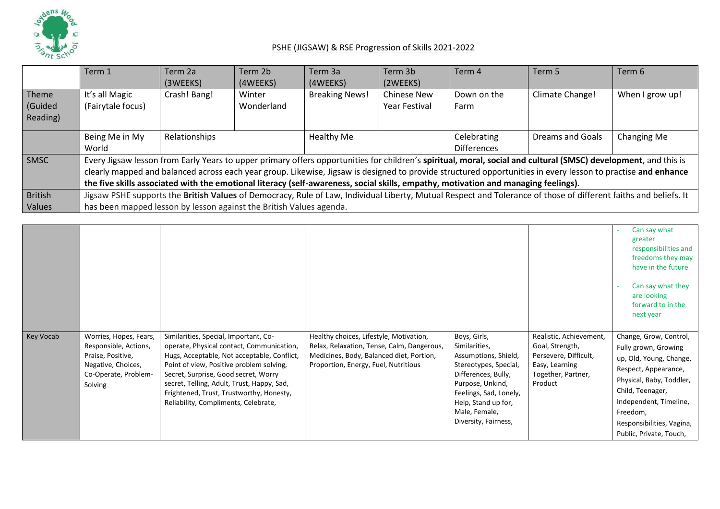

|                             | Term 1                                                                                                                                                                                                                                  | Term 2a<br>(3WEEKS)                                                                                                                                                                                                                                                                                                                                                                                                                                                   | Term 2b<br>(4WEEKS)  | Term 3a<br>(4WEEKS)   | Term 3b<br>(2WEEKS)                        | Term 4                            | Term 5           | Term 6          |  |
|-----------------------------|-----------------------------------------------------------------------------------------------------------------------------------------------------------------------------------------------------------------------------------------|-----------------------------------------------------------------------------------------------------------------------------------------------------------------------------------------------------------------------------------------------------------------------------------------------------------------------------------------------------------------------------------------------------------------------------------------------------------------------|----------------------|-----------------------|--------------------------------------------|-----------------------------------|------------------|-----------------|--|
| Theme<br>Guided<br>Reading) | It's all Magic<br>(Fairytale focus)                                                                                                                                                                                                     | Crash! Bang!                                                                                                                                                                                                                                                                                                                                                                                                                                                          | Winter<br>Wonderland | <b>Breaking News!</b> | <b>Chinese New</b><br><b>Year Festival</b> | Down on the<br>Farm               | Climate Change!  | When I grow up! |  |
|                             | Being Me in My<br>World                                                                                                                                                                                                                 | Relationships                                                                                                                                                                                                                                                                                                                                                                                                                                                         |                      | Healthy Me            |                                            | Celebrating<br><b>Differences</b> | Dreams and Goals | Changing Me     |  |
| <b>SMSC</b>                 |                                                                                                                                                                                                                                         | Every Jigsaw lesson from Early Years to upper primary offers opportunities for children's spiritual, moral, social and cultural (SMSC) development, and this is<br>clearly mapped and balanced across each year group. Likewise, Jigsaw is designed to provide structured opportunities in every lesson to practise and enhance<br>the five skills associated with the emotional literacy (self-awareness, social skills, empathy, motivation and managing feelings). |                      |                       |                                            |                                   |                  |                 |  |
| British<br>Values           | Jigsaw PSHE supports the British Values of Democracy, Rule of Law, Individual Liberty, Mutual Respect and Tolerance of those of different faiths and beliefs. It<br>has been mapped lesson by lesson against the British Values agenda. |                                                                                                                                                                                                                                                                                                                                                                                                                                                                       |                      |                       |                                            |                                   |                  |                 |  |

|           |                                                                                                                               |                                                                                                                                                                                                                                                                                                                                                         |                                                                                                                                                                           |                                                                                                                                                                                                                     |                                                                                                                        | Can say what<br>greater<br>responsibilities and<br>freedoms they may<br>have in the future<br>Can say what they<br>are looking<br>forward to in the<br>next year                                                                                |
|-----------|-------------------------------------------------------------------------------------------------------------------------------|---------------------------------------------------------------------------------------------------------------------------------------------------------------------------------------------------------------------------------------------------------------------------------------------------------------------------------------------------------|---------------------------------------------------------------------------------------------------------------------------------------------------------------------------|---------------------------------------------------------------------------------------------------------------------------------------------------------------------------------------------------------------------|------------------------------------------------------------------------------------------------------------------------|-------------------------------------------------------------------------------------------------------------------------------------------------------------------------------------------------------------------------------------------------|
| Key Vocab | Worries, Hopes, Fears,<br>Responsible, Actions,<br>Praise, Positive,<br>Negative, Choices,<br>Co-Operate, Problem-<br>Solving | Similarities, Special, Important, Co-<br>operate, Physical contact, Communication,<br>Hugs, Acceptable, Not acceptable, Conflict,<br>Point of view, Positive problem solving,<br>Secret, Surprise, Good secret, Worry<br>secret, Telling, Adult, Trust, Happy, Sad,<br>Frightened, Trust, Trustworthy, Honesty,<br>Reliability, Compliments, Celebrate, | Healthy choices, Lifestyle, Motivation,<br>Relax, Relaxation, Tense, Calm, Dangerous,<br>Medicines, Body, Balanced diet, Portion,<br>Proportion, Energy, Fuel, Nutritious | Boys, Girls,<br>Similarities,<br>Assumptions, Shield,<br>Stereotypes, Special,<br>Differences, Bully,<br>Purpose, Unkind,<br>Feelings, Sad, Lonely,<br>Help, Stand up for,<br>Male, Female,<br>Diversity, Fairness, | Realistic, Achievement,<br>Goal, Strength,<br>Persevere, Difficult,<br>Easy, Learning<br>Together, Partner,<br>Product | Change, Grow, Control,<br>Fully grown, Growing<br>up, Old, Young, Change,<br>Respect, Appearance,<br>Physical, Baby, Toddler,<br>Child, Teenager,<br>Independent, Timeline,<br>Freedom,<br>Responsibilities, Vagina,<br>Public, Private, Touch, |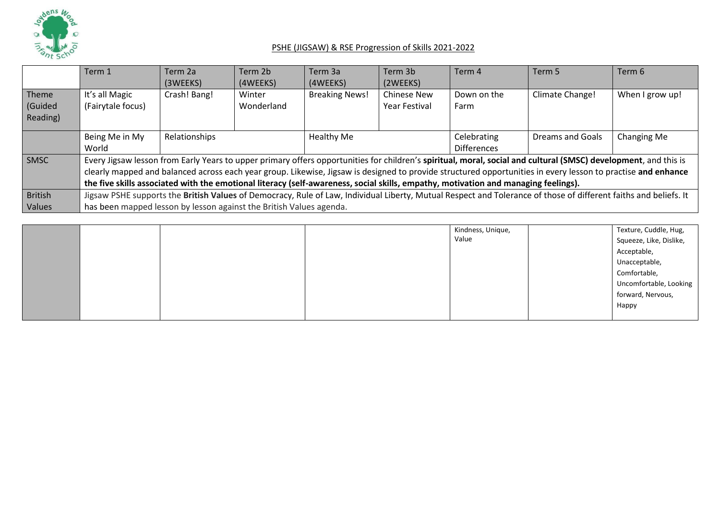

|                | Term 1                                                                                                                                                           | Term 2a<br>(3WEEKS) | Term 2b<br>(4WEEKS) | Term 3a<br>(4WEEKS)   | Term 3b<br>(2WEEKS)  | Term 4                                                                                                                             | Term 5                                                                                                                                                          | Term 6          |  |
|----------------|------------------------------------------------------------------------------------------------------------------------------------------------------------------|---------------------|---------------------|-----------------------|----------------------|------------------------------------------------------------------------------------------------------------------------------------|-----------------------------------------------------------------------------------------------------------------------------------------------------------------|-----------------|--|
| Theme          | It's all Magic                                                                                                                                                   | Crash! Bang!        | Winter              | <b>Breaking News!</b> | <b>Chinese New</b>   | Down on the                                                                                                                        | Climate Change!                                                                                                                                                 |                 |  |
|                |                                                                                                                                                                  |                     |                     |                       |                      |                                                                                                                                    |                                                                                                                                                                 | When I grow up! |  |
| (Guided        | (Fairytale focus)                                                                                                                                                |                     | Wonderland          |                       | <b>Year Festival</b> | Farm                                                                                                                               |                                                                                                                                                                 |                 |  |
| Reading)       |                                                                                                                                                                  |                     |                     |                       |                      |                                                                                                                                    |                                                                                                                                                                 |                 |  |
|                |                                                                                                                                                                  |                     |                     |                       |                      |                                                                                                                                    |                                                                                                                                                                 |                 |  |
|                | Being Me in My                                                                                                                                                   | Relationships       |                     | Healthy Me            |                      | Celebrating                                                                                                                        | <b>Dreams and Goals</b>                                                                                                                                         | Changing Me     |  |
|                | World                                                                                                                                                            |                     |                     |                       |                      | <b>Differences</b>                                                                                                                 |                                                                                                                                                                 |                 |  |
| SMSC           |                                                                                                                                                                  |                     |                     |                       |                      |                                                                                                                                    | Every Jigsaw lesson from Early Years to upper primary offers opportunities for children's spiritual, moral, social and cultural (SMSC) development, and this is |                 |  |
|                |                                                                                                                                                                  |                     |                     |                       |                      |                                                                                                                                    | clearly mapped and balanced across each year group. Likewise, Jigsaw is designed to provide structured opportunities in every lesson to practise and enhance    |                 |  |
|                |                                                                                                                                                                  |                     |                     |                       |                      | the five skills associated with the emotional literacy (self-awareness, social skills, empathy, motivation and managing feelings). |                                                                                                                                                                 |                 |  |
| <b>British</b> | Jigsaw PSHE supports the British Values of Democracy, Rule of Law, Individual Liberty, Mutual Respect and Tolerance of those of different faiths and beliefs. It |                     |                     |                       |                      |                                                                                                                                    |                                                                                                                                                                 |                 |  |
| Values         | has been mapped lesson by lesson against the British Values agenda.                                                                                              |                     |                     |                       |                      |                                                                                                                                    |                                                                                                                                                                 |                 |  |

|  |  | Kindness, Unique, | Texture, Cuddle, Hug,   |
|--|--|-------------------|-------------------------|
|  |  | Value             | Squeeze, Like, Dislike, |
|  |  |                   | Acceptable,             |
|  |  |                   | Unacceptable,           |
|  |  |                   | Comfortable,            |
|  |  |                   | Uncomfortable, Looking  |
|  |  |                   | forward, Nervous,       |
|  |  |                   | Happy                   |
|  |  |                   |                         |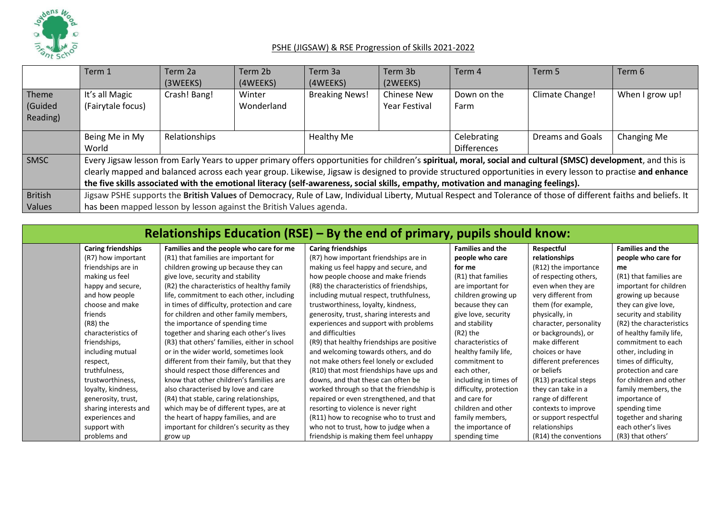

|                | Term 1                                                                                                                                                           | Term 2a       | Term 2b    | Term 3a               | Term 3b            | Term 4             | Term 5                                                                                                                                                          | Term 6          |  |
|----------------|------------------------------------------------------------------------------------------------------------------------------------------------------------------|---------------|------------|-----------------------|--------------------|--------------------|-----------------------------------------------------------------------------------------------------------------------------------------------------------------|-----------------|--|
|                |                                                                                                                                                                  | (3WEEKS)      | (4WEEKS)   | (4WEEKS)              | (2WEEKS)           |                    |                                                                                                                                                                 |                 |  |
| Theme          | It's all Magic                                                                                                                                                   | Crash! Bang!  | Winter     | <b>Breaking News!</b> | <b>Chinese New</b> | Down on the        | Climate Change!                                                                                                                                                 | When I grow up! |  |
| (Guided        | (Fairytale focus)                                                                                                                                                |               | Wonderland |                       | Year Festival      | Farm               |                                                                                                                                                                 |                 |  |
| Reading)       |                                                                                                                                                                  |               |            |                       |                    |                    |                                                                                                                                                                 |                 |  |
|                | Being Me in My                                                                                                                                                   | Relationships |            | Healthy Me            |                    | Celebrating        | Dreams and Goals                                                                                                                                                | Changing Me     |  |
|                | World                                                                                                                                                            |               |            |                       |                    | <b>Differences</b> |                                                                                                                                                                 |                 |  |
| SMSC           |                                                                                                                                                                  |               |            |                       |                    |                    | Every Jigsaw lesson from Early Years to upper primary offers opportunities for children's spiritual, moral, social and cultural (SMSC) development, and this is |                 |  |
|                |                                                                                                                                                                  |               |            |                       |                    |                    | clearly mapped and balanced across each year group. Likewise, Jigsaw is designed to provide structured opportunities in every lesson to practise and enhance    |                 |  |
|                | the five skills associated with the emotional literacy (self-awareness, social skills, empathy, motivation and managing feelings).                               |               |            |                       |                    |                    |                                                                                                                                                                 |                 |  |
| <b>British</b> | Jigsaw PSHE supports the British Values of Democracy, Rule of Law, Individual Liberty, Mutual Respect and Tolerance of those of different faiths and beliefs. It |               |            |                       |                    |                    |                                                                                                                                                                 |                 |  |
| Values         | has been mapped lesson by lesson against the British Values agenda.                                                                                              |               |            |                       |                    |                    |                                                                                                                                                                 |                 |  |

| Relationships Education (RSE) – By the end of primary, pupils should know: |                                              |                                            |                         |                        |                          |  |  |  |  |  |  |
|----------------------------------------------------------------------------|----------------------------------------------|--------------------------------------------|-------------------------|------------------------|--------------------------|--|--|--|--|--|--|
| <b>Caring friendships</b>                                                  | Families and the people who care for me      | <b>Caring friendships</b>                  | <b>Families and the</b> | Respectful             | <b>Families and the</b>  |  |  |  |  |  |  |
| (R7) how important                                                         | (R1) that families are important for         | (R7) how important friendships are in      | people who care         | relationships          | people who care for      |  |  |  |  |  |  |
| friendships are in                                                         | children growing up because they can         | making us feel happy and secure, and       | for me                  | (R12) the importance   | me                       |  |  |  |  |  |  |
| making us feel                                                             | give love, security and stability            | how people choose and make friends         | (R1) that families      | of respecting others,  | (R1) that families are   |  |  |  |  |  |  |
| happy and secure,                                                          | (R2) the characteristics of healthy family   | (R8) the characteristics of friendships,   | are important for       | even when they are     | important for children   |  |  |  |  |  |  |
| and how people                                                             | life, commitment to each other, including    | including mutual respect, truthfulness,    | children growing up     | very different from    | growing up because       |  |  |  |  |  |  |
| choose and make                                                            | in times of difficulty, protection and care  | trustworthiness, loyalty, kindness,        | because they can        | them (for example,     | they can give love,      |  |  |  |  |  |  |
| friends                                                                    | for children and other family members,       | generosity, trust, sharing interests and   | give love, security     | physically, in         | security and stability   |  |  |  |  |  |  |
| $(R8)$ the                                                                 | the importance of spending time              | experiences and support with problems      | and stability           | character, personality | (R2) the characteristics |  |  |  |  |  |  |
| characteristics of                                                         | together and sharing each other's lives      | and difficulties                           | (R2) the                | or backgrounds), or    | of healthy family life,  |  |  |  |  |  |  |
| friendships,                                                               | (R3) that others' families, either in school | (R9) that healthy friendships are positive | characteristics of      | make different         | commitment to each       |  |  |  |  |  |  |
| including mutual                                                           | or in the wider world, sometimes look        | and welcoming towards others, and do       | healthy family life,    | choices or have        | other, including in      |  |  |  |  |  |  |
| respect,                                                                   | different from their family, but that they   | not make others feel lonely or excluded    | commitment to           | different preferences  | times of difficulty,     |  |  |  |  |  |  |
| truthfulness,                                                              | should respect those differences and         | (R10) that most friendships have ups and   | each other,             | or beliefs             | protection and care      |  |  |  |  |  |  |
| trustworthiness,                                                           | know that other children's families are      | downs, and that these can often be         | including in times of   | (R13) practical steps  | for children and other   |  |  |  |  |  |  |
| loyalty, kindness,                                                         | also characterised by love and care          | worked through so that the friendship is   | difficulty, protection  | they can take in a     | family members, the      |  |  |  |  |  |  |
| generosity, trust,                                                         | (R4) that stable, caring relationships,      | repaired or even strengthened, and that    | and care for            | range of different     | importance of            |  |  |  |  |  |  |
| sharing interests and                                                      | which may be of different types, are at      | resorting to violence is never right       | children and other      | contexts to improve    | spending time            |  |  |  |  |  |  |
| experiences and                                                            | the heart of happy families, and are         | (R11) how to recognise who to trust and    | family members,         | or support respectful  | together and sharing     |  |  |  |  |  |  |
| support with                                                               | important for children's security as they    | who not to trust, how to judge when a      | the importance of       | relationships          | each other's lives       |  |  |  |  |  |  |
| problems and                                                               | grow up                                      | friendship is making them feel unhappy     | spending time           | (R14) the conventions  | (R3) that others'        |  |  |  |  |  |  |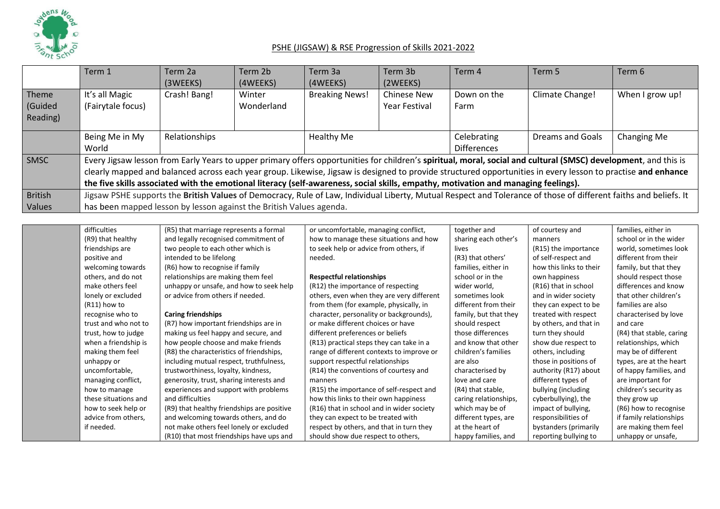

|                              | Term 1                              | Term 2a<br>(3WEEKS)                                                                                                                                                                                                                                                                                                                                                                                                                                                   | Term 2b<br>(4WEEKS)  | Term 3a<br>(4WEEKS)   | Term 3b<br>(2WEEKS)                 | Term 4                            | Term 5                  | Term 6          |  |  |
|------------------------------|-------------------------------------|-----------------------------------------------------------------------------------------------------------------------------------------------------------------------------------------------------------------------------------------------------------------------------------------------------------------------------------------------------------------------------------------------------------------------------------------------------------------------|----------------------|-----------------------|-------------------------------------|-----------------------------------|-------------------------|-----------------|--|--|
| Theme<br>(Guided<br>Reading) | It's all Magic<br>(Fairytale focus) | Crash! Bang!                                                                                                                                                                                                                                                                                                                                                                                                                                                          | Winter<br>Wonderland | <b>Breaking News!</b> | <b>Chinese New</b><br>Year Festival | Down on the<br>Farm               | Climate Change!         | When I grow up! |  |  |
|                              | Being Me in My<br>World             | Relationships                                                                                                                                                                                                                                                                                                                                                                                                                                                         |                      | Healthy Me            |                                     | Celebrating<br><b>Differences</b> | <b>Dreams and Goals</b> | Changing Me     |  |  |
| SMSC                         |                                     | Every Jigsaw lesson from Early Years to upper primary offers opportunities for children's spiritual, moral, social and cultural (SMSC) development, and this is<br>clearly mapped and balanced across each year group. Likewise, Jigsaw is designed to provide structured opportunities in every lesson to practise and enhance<br>the five skills associated with the emotional literacy (self-awareness, social skills, empathy, motivation and managing feelings). |                      |                       |                                     |                                   |                         |                 |  |  |
| <b>British</b><br>Values     |                                     | Jigsaw PSHE supports the British Values of Democracy, Rule of Law, Individual Liberty, Mutual Respect and Tolerance of those of different faiths and beliefs. It<br>has been mapped lesson by lesson against the British Values agenda.                                                                                                                                                                                                                               |                      |                       |                                     |                                   |                         |                 |  |  |

| difficulties         | (R5) that marriage represents a formal     | or uncomfortable, managing conflict,      | together and          | of courtesy and         | families, either in      |
|----------------------|--------------------------------------------|-------------------------------------------|-----------------------|-------------------------|--------------------------|
| (R9) that healthy    | and legally recognised commitment of       | how to manage these situations and how    | sharing each other's  | manners                 | school or in the wider   |
| friendships are      | two people to each other which is          | to seek help or advice from others, if    | lives                 | (R15) the importance    | world, sometimes look    |
| positive and         | intended to be lifelong                    | needed.                                   | (R3) that others'     | of self-respect and     | different from their     |
| welcoming towards    | (R6) how to recognise if family            |                                           | families, either in   | how this links to their | family, but that they    |
| others, and do not   | relationships are making them feel         | <b>Respectful relationships</b>           | school or in the      | own happiness           | should respect those     |
| make others feel     | unhappy or unsafe, and how to seek help    | (R12) the importance of respecting        | wider world,          | (R16) that in school    | differences and know     |
| lonely or excluded   | or advice from others if needed.           | others, even when they are very different | sometimes look        | and in wider society    | that other children's    |
| $(R11)$ how to       |                                            | from them (for example, physically, in    | different from their  | they can expect to be   | families are also        |
| recognise who to     | <b>Caring friendships</b>                  | character, personality or backgrounds),   | family, but that they | treated with respect    | characterised by love    |
| trust and who not to | (R7) how important friendships are in      | or make different choices or have         | should respect        | by others, and that in  | and care                 |
| trust, how to judge  | making us feel happy and secure, and       | different preferences or beliefs          | those differences     | turn they should        | (R4) that stable, caring |
| when a friendship is | how people choose and make friends         | (R13) practical steps they can take in a  | and know that other   | show due respect to     | relationships, which     |
| making them feel     | (R8) the characteristics of friendships,   | range of different contexts to improve or | children's families   | others, including       | may be of different      |
| unhappy or           | including mutual respect, truthfulness,    | support respectful relationships          | are also              | those in positions of   | types, are at the heart  |
| uncomfortable,       | trustworthiness, loyalty, kindness,        | (R14) the conventions of courtesy and     | characterised by      | authority (R17) about   | of happy families, and   |
| managing conflict,   | generosity, trust, sharing interests and   | manners                                   | love and care         | different types of      | are important for        |
| how to manage        | experiences and support with problems      | (R15) the importance of self-respect and  | (R4) that stable,     | bullying (including     | children's security as   |
| these situations and | and difficulties                           | how this links to their own happiness     | caring relationships, | cyberbullying), the     | they grow up             |
| how to seek help or  | (R9) that healthy friendships are positive | (R16) that in school and in wider society | which may be of       | impact of bullying,     | (R6) how to recognise    |
| advice from others,  | and welcoming towards others, and do       | they can expect to be treated with        | different types, are  | responsibilities of     | if family relationships  |
| if needed.           | not make others feel lonely or excluded    | respect by others, and that in turn they  | at the heart of       | bystanders (primarily   | are making them feel     |
|                      | (R10) that most friendships have ups and   | should show due respect to others,        | happy families, and   | reporting bullying to   | unhappy or unsafe,       |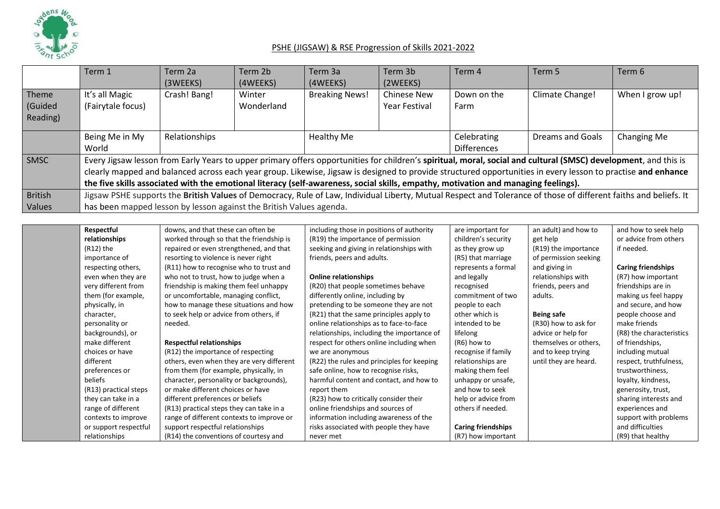

| Term 1                                                                                                                             | Term 2a<br>(3WEEKS) | Term 2b<br>(4WEEKS)  | Term 3a<br>(4WEEKS)   | Term 3b<br>(2WEEKS)                                                 | Term 4              | Term 5             | Term 6                                                                                                                                                                                                                                                                                                                                                                                                                                                                                              |
|------------------------------------------------------------------------------------------------------------------------------------|---------------------|----------------------|-----------------------|---------------------------------------------------------------------|---------------------|--------------------|-----------------------------------------------------------------------------------------------------------------------------------------------------------------------------------------------------------------------------------------------------------------------------------------------------------------------------------------------------------------------------------------------------------------------------------------------------------------------------------------------------|
| It's all Magic<br>(Fairytale focus)                                                                                                | Crash! Bang!        | Winter<br>Wonderland | <b>Breaking News!</b> | <b>Chinese New</b><br><b>Year Festival</b>                          | Down on the<br>Farm | Climate Change!    | When I grow up!                                                                                                                                                                                                                                                                                                                                                                                                                                                                                     |
| Being Me in My                                                                                                                     | Relationships       |                      | Healthy Me            |                                                                     | Celebrating         | Dreams and Goals   | Changing Me                                                                                                                                                                                                                                                                                                                                                                                                                                                                                         |
|                                                                                                                                    |                     |                      |                       |                                                                     |                     |                    |                                                                                                                                                                                                                                                                                                                                                                                                                                                                                                     |
|                                                                                                                                    |                     |                      |                       |                                                                     |                     |                    |                                                                                                                                                                                                                                                                                                                                                                                                                                                                                                     |
|                                                                                                                                    |                     |                      |                       |                                                                     |                     |                    |                                                                                                                                                                                                                                                                                                                                                                                                                                                                                                     |
| the five skills associated with the emotional literacy (self-awareness, social skills, empathy, motivation and managing feelings). |                     |                      |                       |                                                                     |                     |                    |                                                                                                                                                                                                                                                                                                                                                                                                                                                                                                     |
|                                                                                                                                    |                     |                      |                       |                                                                     |                     |                    |                                                                                                                                                                                                                                                                                                                                                                                                                                                                                                     |
|                                                                                                                                    |                     |                      |                       |                                                                     |                     |                    |                                                                                                                                                                                                                                                                                                                                                                                                                                                                                                     |
|                                                                                                                                    | World               |                      |                       | has been mapped lesson by lesson against the British Values agenda. |                     | <b>Differences</b> | Every Jigsaw lesson from Early Years to upper primary offers opportunities for children's spiritual, moral, social and cultural (SMSC) development, and this is<br>clearly mapped and balanced across each year group. Likewise, Jigsaw is designed to provide structured opportunities in every lesson to practise and enhance<br>Jigsaw PSHE supports the British Values of Democracy, Rule of Law, Individual Liberty, Mutual Respect and Tolerance of those of different faiths and beliefs. It |

| Respectful            | downs, and that these can often be        | including those in positions of authority  | are important for         | an adult) and how to  | and how to seek help      |
|-----------------------|-------------------------------------------|--------------------------------------------|---------------------------|-----------------------|---------------------------|
| relationships         | worked through so that the friendship is  | (R19) the importance of permission         | children's security       | get help              | or advice from others     |
| $(R12)$ the           | repaired or even strengthened, and that   | seeking and giving in relationships with   | as they grow up           | (R19) the importance  | if needed.                |
| importance of         | resorting to violence is never right      | friends, peers and adults.                 | (R5) that marriage        | of permission seeking |                           |
| respecting others,    | (R11) how to recognise who to trust and   |                                            | represents a formal       | and giving in         | <b>Caring friendships</b> |
| even when they are    | who not to trust, how to judge when a     | <b>Online relationships</b>                | and legally               | relationships with    | (R7) how important        |
| very different from   | friendship is making them feel unhappy    | (R20) that people sometimes behave         | recognised                | friends, peers and    | friendships are in        |
| them (for example,    | or uncomfortable, managing conflict,      | differently online, including by           | commitment of two         | adults.               | making us feel happy      |
| physically, in        | how to manage these situations and how    | pretending to be someone they are not      | people to each            |                       | and secure, and how       |
| character,            | to seek help or advice from others, if    | (R21) that the same principles apply to    | other which is            | <b>Being safe</b>     | people choose and         |
| personality or        | needed.                                   | online relationships as to face-to-face    | intended to be            | (R30) how to ask for  | make friends              |
| backgrounds), or      |                                           | relationships, including the importance of | lifelong                  | advice or help for    | (R8) the characteristics  |
| make different        | <b>Respectful relationships</b>           | respect for others online including when   | (R6) how to               | themselves or others, | of friendships,           |
| choices or have       | (R12) the importance of respecting        | we are anonymous                           | recognise if family       | and to keep trying    | including mutual          |
| different             | others, even when they are very different | (R22) the rules and principles for keeping | relationships are         | until they are heard. | respect, truthfulness,    |
| preferences or        | from them (for example, physically, in    | safe online, how to recognise risks,       | making them feel          |                       | trustworthiness,          |
| beliefs               | character, personality or backgrounds),   | harmful content and contact, and how to    | unhappy or unsafe,        |                       | loyalty, kindness,        |
| (R13) practical steps | or make different choices or have         | report them                                | and how to seek           |                       | generosity, trust,        |
| they can take in a    | different preferences or beliefs          | (R23) how to critically consider their     | help or advice from       |                       | sharing interests and     |
| range of different    | (R13) practical steps they can take in a  | online friendships and sources of          | others if needed.         |                       | experiences and           |
| contexts to improve   | range of different contexts to improve or | information including awareness of the     |                           |                       | support with problems     |
| or support respectful | support respectful relationships          | risks associated with people they have     | <b>Caring friendships</b> |                       | and difficulties          |
| relationships         | (R14) the conventions of courtesy and     | never met                                  | (R7) how important        |                       | (R9) that healthy         |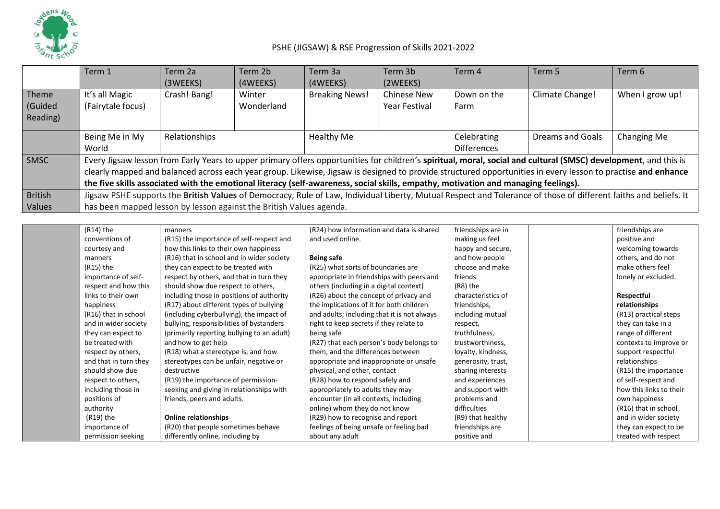

|                              | Term 1                                                                                                                                                                                                                                                                                                                                                                                                                                                                | Term 2a<br>(3WEEKS) | Term 2b<br>(4WEEKS)  | Term 3a<br>(4WEEKS)   | Term 3b<br>(2WEEKS)                 | Term 4                            | Term 5           | Term 6          |  |
|------------------------------|-----------------------------------------------------------------------------------------------------------------------------------------------------------------------------------------------------------------------------------------------------------------------------------------------------------------------------------------------------------------------------------------------------------------------------------------------------------------------|---------------------|----------------------|-----------------------|-------------------------------------|-----------------------------------|------------------|-----------------|--|
| Theme<br>(Guided<br>Reading) | It's all Magic<br>(Fairytale focus)                                                                                                                                                                                                                                                                                                                                                                                                                                   | Crash! Bang!        | Winter<br>Wonderland | <b>Breaking News!</b> | <b>Chinese New</b><br>Year Festival | Down on the<br>Farm               | Climate Change!  | When I grow up! |  |
|                              | Being Me in My<br>World                                                                                                                                                                                                                                                                                                                                                                                                                                               | Relationships       |                      | Healthy Me            |                                     | Celebrating<br><b>Differences</b> | Dreams and Goals | Changing Me     |  |
| SMSC                         | Every Jigsaw lesson from Early Years to upper primary offers opportunities for children's spiritual, moral, social and cultural (SMSC) development, and this is<br>clearly mapped and balanced across each year group. Likewise, Jigsaw is designed to provide structured opportunities in every lesson to practise and enhance<br>the five skills associated with the emotional literacy (self-awareness, social skills, empathy, motivation and managing feelings). |                     |                      |                       |                                     |                                   |                  |                 |  |
| <b>British</b><br>Values     | Jigsaw PSHE supports the British Values of Democracy, Rule of Law, Individual Liberty, Mutual Respect and Tolerance of those of different faiths and beliefs. It<br>has been mapped lesson by lesson against the British Values agenda.                                                                                                                                                                                                                               |                     |                      |                       |                                     |                                   |                  |                 |  |

| (R14) the             | manners                                    | (R24) how information and data is shared    | friendships are in | friendships are         |
|-----------------------|--------------------------------------------|---------------------------------------------|--------------------|-------------------------|
| conventions of        | (R15) the importance of self-respect and   | and used online.                            | making us feel     | positive and            |
| courtesy and          | how this links to their own happiness      |                                             | happy and secure,  | welcoming towards       |
| manners               | (R16) that in school and in wider society  | Being safe                                  | and how people     | others, and do not      |
| (R15) the             | they can expect to be treated with         | (R25) what sorts of boundaries are          | choose and make    | make others feel        |
| importance of self-   | respect by others, and that in turn they   | appropriate in friendships with peers and   | friends            | lonely or excluded.     |
| respect and how this  | should show due respect to others,         | others (including in a digital context)     | (R8) the           |                         |
| links to their own    | including those in positions of authority  | (R26) about the concept of privacy and      | characteristics of | Respectful              |
| happiness             | (R17) about different types of bullying    | the implications of it for both children    | friendships,       | relationships           |
| (R16) that in school  | (including cyberbullying), the impact of   | and adults; including that it is not always | including mutual   | (R13) practical steps   |
| and in wider society  | bullying, responsibilities of bystanders   | right to keep secrets if they relate to     | respect,           | they can take in a      |
| they can expect to    | (primarily reporting bullying to an adult) | being safe                                  | truthfulness,      | range of different      |
| be treated with       | and how to get help                        | (R27) that each person's body belongs to    | trustworthiness,   | contexts to improve or  |
| respect by others,    | (R18) what a stereotype is, and how        | them, and the differences between           | loyalty, kindness, | support respectful      |
| and that in turn they | stereotypes can be unfair, negative or     | appropriate and inappropriate or unsafe     | generosity, trust, | relationships           |
| should show due       | destructive                                | physical, and other, contact                | sharing interests  | (R15) the importance    |
| respect to others,    | (R19) the importance of permission-        | (R28) how to respond safely and             | and experiences    | of self-respect and     |
| including those in    | seeking and giving in relationships with   | appropriately to adults they may            | and support with   | how this links to their |
| positions of          | friends, peers and adults.                 | encounter (in all contexts, including       | problems and       | own happiness           |
| authority             |                                            | online) whom they do not know               | difficulties       | (R16) that in school    |
| (R19) the             | <b>Online relationships</b>                | (R29) how to recognise and report           | (R9) that healthy  | and in wider society    |
| importance of         | (R20) that people sometimes behave         | feelings of being unsafe or feeling bad     | friendships are    | they can expect to be   |
| permission seeking    | differently online, including by           | about any adult                             | positive and       | treated with respect    |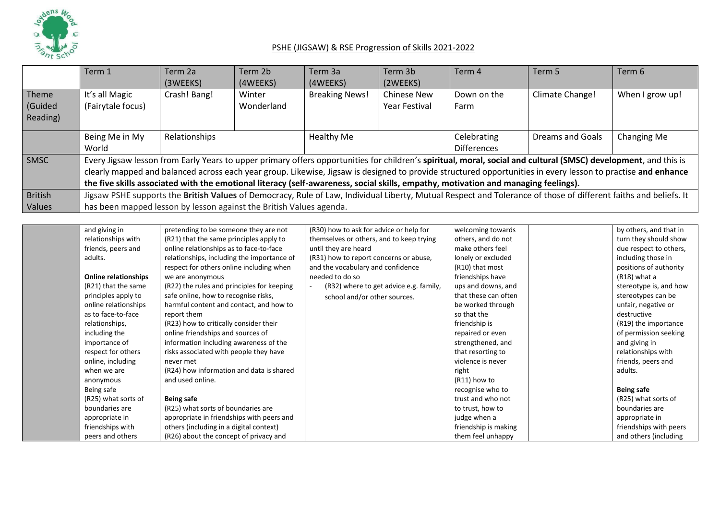

|                              | Term 1                                                                                                                                                                                                                                                                                                                                                                                                                                                                | Term 2a<br>(3WEEKS) | Term 2b<br>(4WEEKS)  | Term 3a<br>(4WEEKS)   | Term 3b<br>(2WEEKS)                 | Term 4                            | Term 5           | Term 6          |  |
|------------------------------|-----------------------------------------------------------------------------------------------------------------------------------------------------------------------------------------------------------------------------------------------------------------------------------------------------------------------------------------------------------------------------------------------------------------------------------------------------------------------|---------------------|----------------------|-----------------------|-------------------------------------|-----------------------------------|------------------|-----------------|--|
| Theme<br>(Guided<br>Reading) | It's all Magic<br>(Fairytale focus)                                                                                                                                                                                                                                                                                                                                                                                                                                   | Crash! Bang!        | Winter<br>Wonderland | <b>Breaking News!</b> | <b>Chinese New</b><br>Year Festival | Down on the<br>Farm               | Climate Change!  | When I grow up! |  |
|                              | Being Me in My<br>World                                                                                                                                                                                                                                                                                                                                                                                                                                               | Relationships       |                      | Healthy Me            |                                     | Celebrating<br><b>Differences</b> | Dreams and Goals | Changing Me     |  |
| SMSC                         | Every Jigsaw lesson from Early Years to upper primary offers opportunities for children's spiritual, moral, social and cultural (SMSC) development, and this is<br>clearly mapped and balanced across each year group. Likewise, Jigsaw is designed to provide structured opportunities in every lesson to practise and enhance<br>the five skills associated with the emotional literacy (self-awareness, social skills, empathy, motivation and managing feelings). |                     |                      |                       |                                     |                                   |                  |                 |  |
| <b>British</b><br>Values     | Jigsaw PSHE supports the British Values of Democracy, Rule of Law, Individual Liberty, Mutual Respect and Tolerance of those of different faiths and beliefs. It<br>has been mapped lesson by lesson against the British Values agenda.                                                                                                                                                                                                                               |                     |                      |                       |                                     |                                   |                  |                 |  |

| and giving in               | pretending to be someone they are not      | (R30) how to ask for advice or help for  | welcoming towards    | by others, and that in |
|-----------------------------|--------------------------------------------|------------------------------------------|----------------------|------------------------|
| relationships with          | (R21) that the same principles apply to    | themselves or others, and to keep trying | others, and do not   | turn they should show  |
| friends, peers and          | online relationships as to face-to-face    | until they are heard                     | make others feel     | due respect to others, |
| adults.                     | relationships, including the importance of | (R31) how to report concerns or abuse,   | lonely or excluded   | including those in     |
|                             | respect for others online including when   | and the vocabulary and confidence        | (R10) that most      | positions of authority |
| <b>Online relationships</b> | we are anonymous                           | needed to do so                          | friendships have     | $(R18)$ what a         |
| (R21) that the same         | (R22) the rules and principles for keeping | (R32) where to get advice e.g. family,   | ups and downs, and   | stereotype is, and how |
| principles apply to         | safe online, how to recognise risks,       | school and/or other sources.             | that these can often | stereotypes can be     |
| online relationships        | harmful content and contact, and how to    |                                          | be worked through    | unfair, negative or    |
| as to face-to-face          | report them                                |                                          | so that the          | destructive            |
| relationships,              | (R23) how to critically consider their     |                                          | friendship is        | (R19) the importance   |
| including the               | online friendships and sources of          |                                          | repaired or even     | of permission seeking  |
| importance of               | information including awareness of the     |                                          | strengthened, and    | and giving in          |
| respect for others          | risks associated with people they have     |                                          | that resorting to    | relationships with     |
| online, including           | never met                                  |                                          | violence is never    | friends, peers and     |
| when we are                 | (R24) how information and data is shared   |                                          | right                | adults.                |
| anonymous                   | and used online.                           |                                          | $(R11)$ how to       |                        |
| Being safe                  |                                            |                                          | recognise who to     | <b>Being safe</b>      |
| (R25) what sorts of         | <b>Being safe</b>                          |                                          | trust and who not    | (R25) what sorts of    |
| boundaries are              | (R25) what sorts of boundaries are         |                                          | to trust, how to     | boundaries are         |
| appropriate in              | appropriate in friendships with peers and  |                                          | judge when a         | appropriate in         |
| friendships with            | others (including in a digital context)    |                                          | friendship is making | friendships with peers |
| peers and others            | (R26) about the concept of privacy and     |                                          | them feel unhappy    | and others (including  |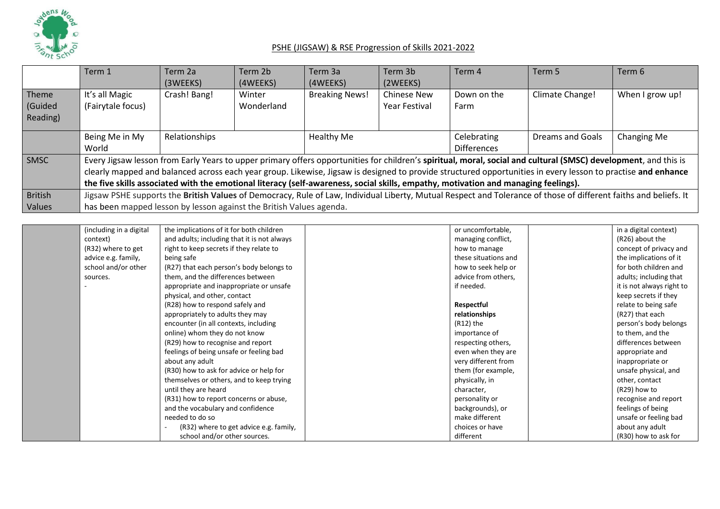

|                              | Term 1                                                                                                                                                                                                                                                                                                                                                                                                                                                                | Term 2a<br>(3WEEKS) | Term 2b<br>(4WEEKS)  | Term 3a<br>(4WEEKS)   | Term 3b<br>(2WEEKS)                 | Term 4                            | Term 5           | Term 6          |  |
|------------------------------|-----------------------------------------------------------------------------------------------------------------------------------------------------------------------------------------------------------------------------------------------------------------------------------------------------------------------------------------------------------------------------------------------------------------------------------------------------------------------|---------------------|----------------------|-----------------------|-------------------------------------|-----------------------------------|------------------|-----------------|--|
| Theme<br>(Guided<br>Reading) | It's all Magic<br>(Fairytale focus)                                                                                                                                                                                                                                                                                                                                                                                                                                   | Crash! Bang!        | Winter<br>Wonderland | <b>Breaking News!</b> | <b>Chinese New</b><br>Year Festival | Down on the<br>Farm               | Climate Change!  | When I grow up! |  |
|                              | Being Me in My<br>World                                                                                                                                                                                                                                                                                                                                                                                                                                               | Relationships       |                      | Healthy Me            |                                     | Celebrating<br><b>Differences</b> | Dreams and Goals | Changing Me     |  |
| SMSC                         | Every Jigsaw lesson from Early Years to upper primary offers opportunities for children's spiritual, moral, social and cultural (SMSC) development, and this is<br>clearly mapped and balanced across each year group. Likewise, Jigsaw is designed to provide structured opportunities in every lesson to practise and enhance<br>the five skills associated with the emotional literacy (self-awareness, social skills, empathy, motivation and managing feelings). |                     |                      |                       |                                     |                                   |                  |                 |  |
| <b>British</b><br>Values     | Jigsaw PSHE supports the British Values of Democracy, Rule of Law, Individual Liberty, Mutual Respect and Tolerance of those of different faiths and beliefs. It<br>has been mapped lesson by lesson against the British Values agenda.                                                                                                                                                                                                                               |                     |                      |                       |                                     |                                   |                  |                 |  |

| (including in a digital | the implications of it for both children    | or uncomfortable,    | in a digital context)     |
|-------------------------|---------------------------------------------|----------------------|---------------------------|
| context)                | and adults; including that it is not always | managing conflict,   | (R26) about the           |
| (R32) where to get      | right to keep secrets if they relate to     | how to manage        | concept of privacy and    |
| advice e.g. family,     | being safe                                  | these situations and | the implications of it    |
| school and/or other     | (R27) that each person's body belongs to    | how to seek help or  | for both children and     |
| sources.                | them, and the differences between           | advice from others,  | adults; including that    |
|                         | appropriate and inappropriate or unsafe     | if needed.           | it is not always right to |
|                         | physical, and other, contact                |                      | keep secrets if they      |
|                         | (R28) how to respond safely and             | Respectful           | relate to being safe      |
|                         | appropriately to adults they may            | relationships        | (R27) that each           |
|                         | encounter (in all contexts, including       | (R12) the            | person's body belongs     |
|                         | online) whom they do not know               | importance of        | to them, and the          |
|                         | (R29) how to recognise and report           | respecting others,   | differences between       |
|                         | feelings of being unsafe or feeling bad     | even when they are   | appropriate and           |
|                         | about any adult                             | very different from  | inappropriate or          |
|                         | (R30) how to ask for advice or help for     | them (for example,   | unsafe physical, and      |
|                         | themselves or others, and to keep trying    | physically, in       | other, contact            |
|                         | until they are heard                        | character,           | (R29) how to              |
|                         | (R31) how to report concerns or abuse,      | personality or       | recognise and report      |
|                         | and the vocabulary and confidence           | backgrounds), or     | feelings of being         |
|                         | needed to do so                             | make different       | unsafe or feeling bad     |
|                         | (R32) where to get advice e.g. family,      | choices or have      | about any adult           |
|                         | school and/or other sources.                | different            | (R30) how to ask for      |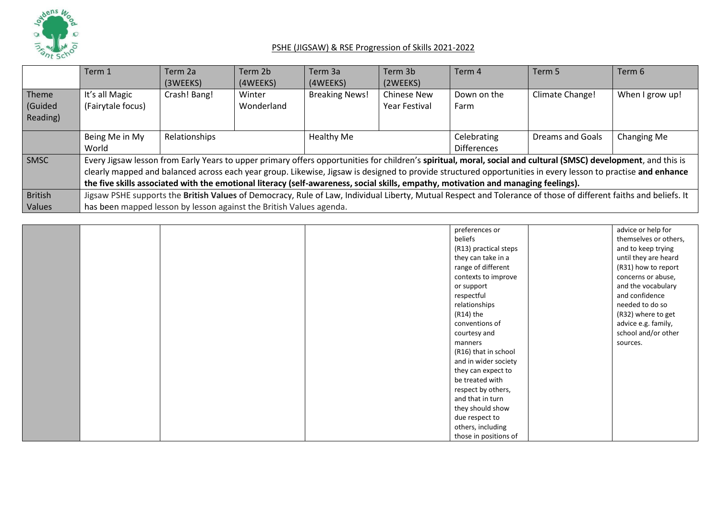

|          | Term 1                                                                                                                                                           | Term 2a       | Term 2b    | Term 3a               | Term 3b              | Term 4                                                                                                                             | Term 5                                                                                                                                                          | Term 6          |  |
|----------|------------------------------------------------------------------------------------------------------------------------------------------------------------------|---------------|------------|-----------------------|----------------------|------------------------------------------------------------------------------------------------------------------------------------|-----------------------------------------------------------------------------------------------------------------------------------------------------------------|-----------------|--|
|          |                                                                                                                                                                  | (3WEEKS)      | (4WEEKS)   | (4WEEKS)              | (2WEEKS)             |                                                                                                                                    |                                                                                                                                                                 |                 |  |
| Theme    | It's all Magic                                                                                                                                                   | Crash! Bang!  | Winter     | <b>Breaking News!</b> | <b>Chinese New</b>   | Down on the                                                                                                                        | Climate Change!                                                                                                                                                 | When I grow up! |  |
| Guided   | (Fairytale focus)                                                                                                                                                |               | Wonderland |                       | <b>Year Festival</b> | Farm                                                                                                                               |                                                                                                                                                                 |                 |  |
| Reading) |                                                                                                                                                                  |               |            |                       |                      |                                                                                                                                    |                                                                                                                                                                 |                 |  |
|          | Being Me in My                                                                                                                                                   | Relationships |            | <b>Healthy Me</b>     |                      | Celebrating                                                                                                                        | Dreams and Goals                                                                                                                                                | Changing Me     |  |
|          | World                                                                                                                                                            |               |            |                       |                      | <b>Differences</b>                                                                                                                 |                                                                                                                                                                 |                 |  |
| SMSC     |                                                                                                                                                                  |               |            |                       |                      |                                                                                                                                    | Every Jigsaw lesson from Early Years to upper primary offers opportunities for children's spiritual, moral, social and cultural (SMSC) development, and this is |                 |  |
|          |                                                                                                                                                                  |               |            |                       |                      |                                                                                                                                    | clearly mapped and balanced across each year group. Likewise, Jigsaw is designed to provide structured opportunities in every lesson to practise and enhance    |                 |  |
|          |                                                                                                                                                                  |               |            |                       |                      | the five skills associated with the emotional literacy (self-awareness, social skills, empathy, motivation and managing feelings). |                                                                                                                                                                 |                 |  |
| British  | Jigsaw PSHE supports the British Values of Democracy, Rule of Law, Individual Liberty, Mutual Respect and Tolerance of those of different faiths and beliefs. It |               |            |                       |                      |                                                                                                                                    |                                                                                                                                                                 |                 |  |
| Values   | has been mapped lesson by lesson against the British Values agenda.                                                                                              |               |            |                       |                      |                                                                                                                                    |                                                                                                                                                                 |                 |  |

|  |  | preferences or        | advice or help for    |
|--|--|-----------------------|-----------------------|
|  |  | beliefs               | themselves or others, |
|  |  | (R13) practical steps | and to keep trying    |
|  |  | they can take in a    | until they are heard  |
|  |  | range of different    | (R31) how to report   |
|  |  | contexts to improve   | concerns or abuse,    |
|  |  | or support            | and the vocabulary    |
|  |  | respectful            | and confidence        |
|  |  | relationships         | needed to do so       |
|  |  | (R14) the             | (R32) where to get    |
|  |  | conventions of        | advice e.g. family,   |
|  |  | courtesy and          | school and/or other   |
|  |  | manners               | sources.              |
|  |  | (R16) that in school  |                       |
|  |  | and in wider society  |                       |
|  |  | they can expect to    |                       |
|  |  | be treated with       |                       |
|  |  | respect by others,    |                       |
|  |  | and that in turn      |                       |
|  |  | they should show      |                       |
|  |  | due respect to        |                       |
|  |  | others, including     |                       |
|  |  | those in positions of |                       |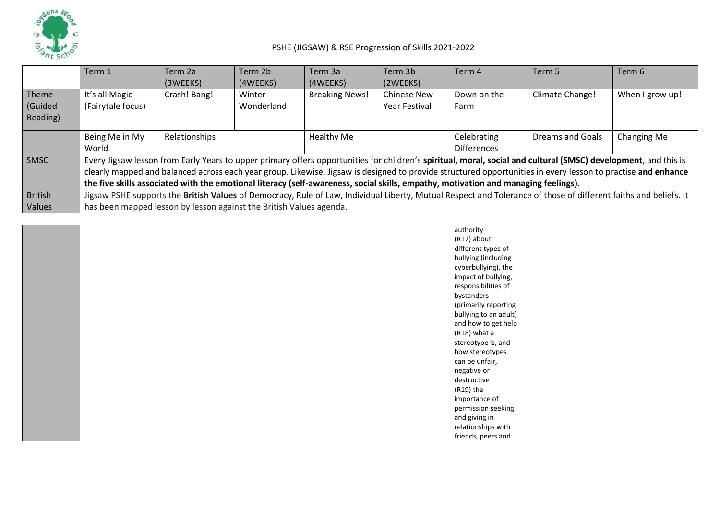

|                | Term 1                                                              | Term 2a       | Term 2b    | Term 3a               | Term 3b              | Term 4                                                                                                                             | Term 5                                                                                                                                                           | Term 6          |
|----------------|---------------------------------------------------------------------|---------------|------------|-----------------------|----------------------|------------------------------------------------------------------------------------------------------------------------------------|------------------------------------------------------------------------------------------------------------------------------------------------------------------|-----------------|
|                |                                                                     | (3WEEKS)      | (4WEEKS)   | (4WEEKS)              | (2WEEKS)             |                                                                                                                                    |                                                                                                                                                                  |                 |
| Theme          | It's all Magic                                                      | Crash! Bang!  | Winter     | <b>Breaking News!</b> | <b>Chinese New</b>   | Down on the                                                                                                                        | Climate Change!                                                                                                                                                  | When I grow up! |
| (Guided        | (Fairytale focus)                                                   |               | Wonderland |                       | <b>Year Festival</b> | Farm                                                                                                                               |                                                                                                                                                                  |                 |
| Reading)       |                                                                     |               |            |                       |                      |                                                                                                                                    |                                                                                                                                                                  |                 |
|                | Being Me in My                                                      | Relationships |            | Healthy Me            |                      | Celebrating                                                                                                                        | <b>Dreams and Goals</b>                                                                                                                                          | Changing Me     |
|                | World                                                               |               |            |                       |                      | <b>Differences</b>                                                                                                                 |                                                                                                                                                                  |                 |
| <b>SMSC</b>    |                                                                     |               |            |                       |                      |                                                                                                                                    | Every Jigsaw lesson from Early Years to upper primary offers opportunities for children's spiritual, moral, social and cultural (SMSC) development, and this is  |                 |
|                |                                                                     |               |            |                       |                      |                                                                                                                                    | clearly mapped and balanced across each year group. Likewise, Jigsaw is designed to provide structured opportunities in every lesson to practise and enhance     |                 |
|                |                                                                     |               |            |                       |                      | the five skills associated with the emotional literacy (self-awareness, social skills, empathy, motivation and managing feelings). |                                                                                                                                                                  |                 |
| <b>British</b> |                                                                     |               |            |                       |                      |                                                                                                                                    | Jigsaw PSHE supports the British Values of Democracy, Rule of Law, Individual Liberty, Mutual Respect and Tolerance of those of different faiths and beliefs. It |                 |
| <b>Values</b>  | has been mapped lesson by lesson against the British Values agenda. |               |            |                       |                      |                                                                                                                                    |                                                                                                                                                                  |                 |

|  |  | authority             |  |
|--|--|-----------------------|--|
|  |  | (R17) about           |  |
|  |  | different types of    |  |
|  |  | bullying (including   |  |
|  |  | cyberbullying), the   |  |
|  |  | impact of bullying,   |  |
|  |  | responsibilities of   |  |
|  |  | bystanders            |  |
|  |  | (primarily reporting  |  |
|  |  | bullying to an adult) |  |
|  |  | and how to get help   |  |
|  |  | (R18) what a          |  |
|  |  | stereotype is, and    |  |
|  |  | how stereotypes       |  |
|  |  | can be unfair,        |  |
|  |  | negative or           |  |
|  |  | destructive           |  |
|  |  | (R19) the             |  |
|  |  | importance of         |  |
|  |  |                       |  |
|  |  | permission seeking    |  |
|  |  | and giving in         |  |
|  |  | relationships with    |  |
|  |  | friends, peers and    |  |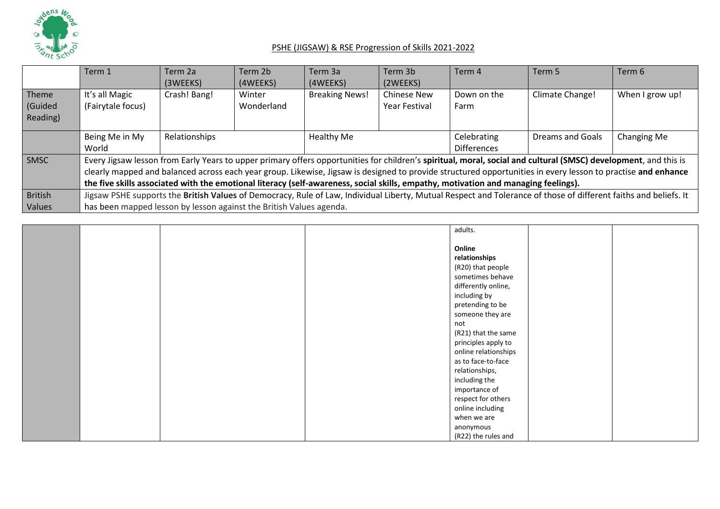

|                | Term 1                                                                                                                             | Term 2a       | Term 2b    | Term 3a               | Term 3b              | Term 4             | Term 5                                                                                                                                                           | Term 6          |
|----------------|------------------------------------------------------------------------------------------------------------------------------------|---------------|------------|-----------------------|----------------------|--------------------|------------------------------------------------------------------------------------------------------------------------------------------------------------------|-----------------|
|                |                                                                                                                                    | (3WEEKS)      | (4WEEKS)   | (4WEEKS)              | (2WEEKS)             |                    |                                                                                                                                                                  |                 |
| Theme          | It's all Magic                                                                                                                     | Crash! Bang!  | Winter     | <b>Breaking News!</b> | <b>Chinese New</b>   | Down on the        | Climate Change!                                                                                                                                                  | When I grow up! |
| (Guided        | (Fairytale focus)                                                                                                                  |               | Wonderland |                       | <b>Year Festival</b> | Farm               |                                                                                                                                                                  |                 |
| Reading)       |                                                                                                                                    |               |            |                       |                      |                    |                                                                                                                                                                  |                 |
|                | Being Me in My                                                                                                                     | Relationships |            | Healthy Me            |                      | Celebrating        | <b>Dreams and Goals</b>                                                                                                                                          | Changing Me     |
|                | World                                                                                                                              |               |            |                       |                      | <b>Differences</b> |                                                                                                                                                                  |                 |
| <b>SMSC</b>    |                                                                                                                                    |               |            |                       |                      |                    | Every Jigsaw lesson from Early Years to upper primary offers opportunities for children's spiritual, moral, social and cultural (SMSC) development, and this is  |                 |
|                |                                                                                                                                    |               |            |                       |                      |                    | clearly mapped and balanced across each year group. Likewise, Jigsaw is designed to provide structured opportunities in every lesson to practise and enhance     |                 |
|                | the five skills associated with the emotional literacy (self-awareness, social skills, empathy, motivation and managing feelings). |               |            |                       |                      |                    |                                                                                                                                                                  |                 |
| <b>British</b> |                                                                                                                                    |               |            |                       |                      |                    | Jigsaw PSHE supports the British Values of Democracy, Rule of Law, Individual Liberty, Mutual Respect and Tolerance of those of different faiths and beliefs. It |                 |
| <b>Values</b>  | has been mapped lesson by lesson against the British Values agenda.                                                                |               |            |                       |                      |                    |                                                                                                                                                                  |                 |

|  |  | adults.              |  |
|--|--|----------------------|--|
|  |  |                      |  |
|  |  | Online               |  |
|  |  | relationships        |  |
|  |  | (R20) that people    |  |
|  |  | sometimes behave     |  |
|  |  | differently online,  |  |
|  |  | including by         |  |
|  |  | pretending to be     |  |
|  |  | someone they are     |  |
|  |  | not                  |  |
|  |  | (R21) that the same  |  |
|  |  | principles apply to  |  |
|  |  | online relationships |  |
|  |  | as to face-to-face   |  |
|  |  | relationships,       |  |
|  |  | including the        |  |
|  |  | importance of        |  |
|  |  | respect for others   |  |
|  |  | online including     |  |
|  |  | when we are          |  |
|  |  | anonymous            |  |
|  |  | (R22) the rules and  |  |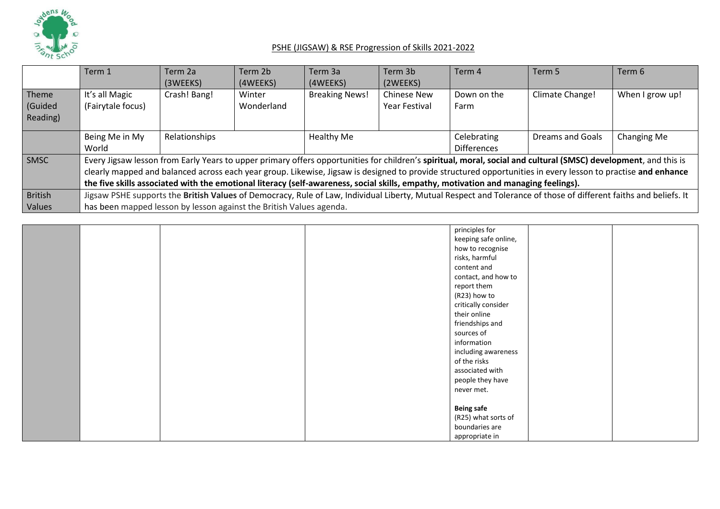

|                | Term 1                                                                                                                             | Term 2a       | Term 2b    | Term 3a               | Term 3b              | Term 4             | Term 5                                                                                                                                                           | Term 6          |
|----------------|------------------------------------------------------------------------------------------------------------------------------------|---------------|------------|-----------------------|----------------------|--------------------|------------------------------------------------------------------------------------------------------------------------------------------------------------------|-----------------|
|                |                                                                                                                                    | (3WEEKS)      | (4WEEKS)   | (4WEEKS)              | (2WEEKS)             |                    |                                                                                                                                                                  |                 |
| Theme          | It's all Magic                                                                                                                     | Crash! Bang!  | Winter     | <b>Breaking News!</b> | <b>Chinese New</b>   | Down on the        | Climate Change!                                                                                                                                                  | When I grow up! |
| (Guided        | (Fairytale focus)                                                                                                                  |               | Wonderland |                       | <b>Year Festival</b> | Farm               |                                                                                                                                                                  |                 |
| Reading)       |                                                                                                                                    |               |            |                       |                      |                    |                                                                                                                                                                  |                 |
|                | Being Me in My                                                                                                                     | Relationships |            | Healthy Me            |                      | Celebrating        | <b>Dreams and Goals</b>                                                                                                                                          | Changing Me     |
|                | World                                                                                                                              |               |            |                       |                      | <b>Differences</b> |                                                                                                                                                                  |                 |
| <b>SMSC</b>    |                                                                                                                                    |               |            |                       |                      |                    | Every Jigsaw lesson from Early Years to upper primary offers opportunities for children's spiritual, moral, social and cultural (SMSC) development, and this is  |                 |
|                |                                                                                                                                    |               |            |                       |                      |                    | clearly mapped and balanced across each year group. Likewise, Jigsaw is designed to provide structured opportunities in every lesson to practise and enhance     |                 |
|                | the five skills associated with the emotional literacy (self-awareness, social skills, empathy, motivation and managing feelings). |               |            |                       |                      |                    |                                                                                                                                                                  |                 |
| <b>British</b> |                                                                                                                                    |               |            |                       |                      |                    | Jigsaw PSHE supports the British Values of Democracy, Rule of Law, Individual Liberty, Mutual Respect and Tolerance of those of different faiths and beliefs. It |                 |
| <b>Values</b>  | has been mapped lesson by lesson against the British Values agenda.                                                                |               |            |                       |                      |                    |                                                                                                                                                                  |                 |

|  |  | principles for       |  |
|--|--|----------------------|--|
|  |  | keeping safe online, |  |
|  |  | how to recognise     |  |
|  |  | risks, harmful       |  |
|  |  | content and          |  |
|  |  | contact, and how to  |  |
|  |  | report them          |  |
|  |  | (R23) how to         |  |
|  |  | critically consider  |  |
|  |  | their online         |  |
|  |  | friendships and      |  |
|  |  | sources of           |  |
|  |  | information          |  |
|  |  | including awareness  |  |
|  |  | of the risks         |  |
|  |  | associated with      |  |
|  |  | people they have     |  |
|  |  | never met.           |  |
|  |  |                      |  |
|  |  | <b>Being safe</b>    |  |
|  |  | (R25) what sorts of  |  |
|  |  | boundaries are       |  |
|  |  | appropriate in       |  |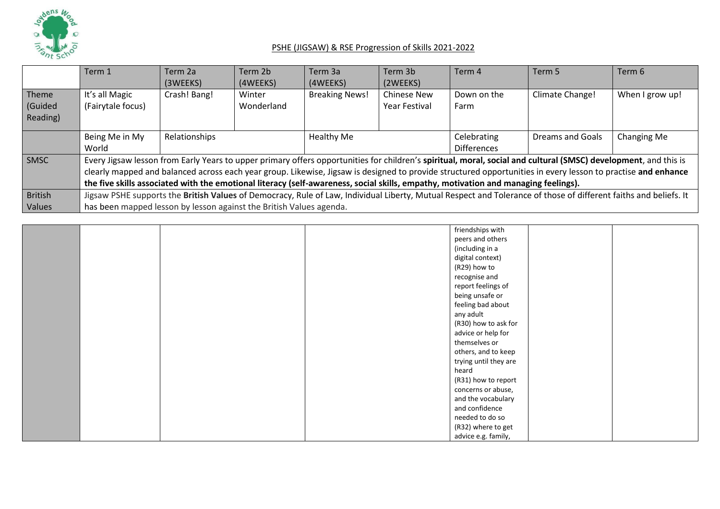

|                | Term 1                                                                                                                             | Term 2a       | Term 2b    | Term 3a               | Term 3b              | Term 4             | Term 5                                                                                                                                                           | Term 6          |
|----------------|------------------------------------------------------------------------------------------------------------------------------------|---------------|------------|-----------------------|----------------------|--------------------|------------------------------------------------------------------------------------------------------------------------------------------------------------------|-----------------|
|                |                                                                                                                                    | (3WEEKS)      | (4WEEKS)   | (4WEEKS)              | (2WEEKS)             |                    |                                                                                                                                                                  |                 |
| Theme          | It's all Magic                                                                                                                     | Crash! Bang!  | Winter     | <b>Breaking News!</b> | <b>Chinese New</b>   | Down on the        | Climate Change!                                                                                                                                                  | When I grow up! |
| (Guided        | (Fairytale focus)                                                                                                                  |               | Wonderland |                       | <b>Year Festival</b> | Farm               |                                                                                                                                                                  |                 |
| Reading)       |                                                                                                                                    |               |            |                       |                      |                    |                                                                                                                                                                  |                 |
|                | Being Me in My                                                                                                                     | Relationships |            | Healthy Me            |                      | Celebrating        | <b>Dreams and Goals</b>                                                                                                                                          | Changing Me     |
|                | World                                                                                                                              |               |            |                       |                      | <b>Differences</b> |                                                                                                                                                                  |                 |
| <b>SMSC</b>    |                                                                                                                                    |               |            |                       |                      |                    | Every Jigsaw lesson from Early Years to upper primary offers opportunities for children's spiritual, moral, social and cultural (SMSC) development, and this is  |                 |
|                |                                                                                                                                    |               |            |                       |                      |                    | clearly mapped and balanced across each year group. Likewise, Jigsaw is designed to provide structured opportunities in every lesson to practise and enhance     |                 |
|                | the five skills associated with the emotional literacy (self-awareness, social skills, empathy, motivation and managing feelings). |               |            |                       |                      |                    |                                                                                                                                                                  |                 |
| <b>British</b> |                                                                                                                                    |               |            |                       |                      |                    | Jigsaw PSHE supports the British Values of Democracy, Rule of Law, Individual Liberty, Mutual Respect and Tolerance of those of different faiths and beliefs. It |                 |
| <b>Values</b>  | has been mapped lesson by lesson against the British Values agenda.                                                                |               |            |                       |                      |                    |                                                                                                                                                                  |                 |

|  |  | friendships with      |  |
|--|--|-----------------------|--|
|  |  | peers and others      |  |
|  |  | (including in a       |  |
|  |  | digital context)      |  |
|  |  | (R29) how to          |  |
|  |  | recognise and         |  |
|  |  | report feelings of    |  |
|  |  | being unsafe or       |  |
|  |  | feeling bad about     |  |
|  |  | any adult             |  |
|  |  | (R30) how to ask for  |  |
|  |  |                       |  |
|  |  | advice or help for    |  |
|  |  | themselves or         |  |
|  |  | others, and to keep   |  |
|  |  | trying until they are |  |
|  |  | heard                 |  |
|  |  | (R31) how to report   |  |
|  |  | concerns or abuse,    |  |
|  |  | and the vocabulary    |  |
|  |  | and confidence        |  |
|  |  | needed to do so       |  |
|  |  | (R32) where to get    |  |
|  |  | advice e.g. family,   |  |